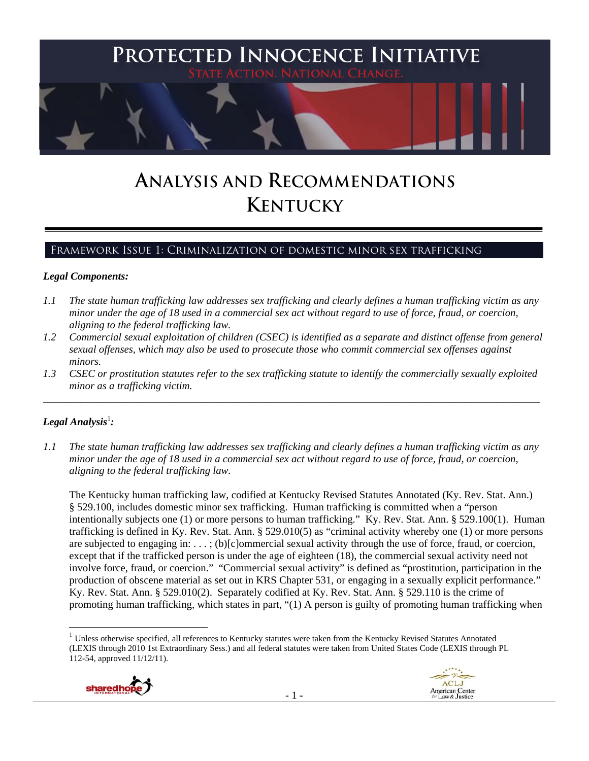

# **ANALYSIS AND RECOMMENDATIONS KENTUCKY**

# Framework Issue 1: Criminalization of domestic minor sex trafficking

#### *Legal Components:*

- *1.1 The state human trafficking law addresses sex trafficking and clearly defines a human trafficking victim as any minor under the age of 18 used in a commercial sex act without regard to use of force, fraud, or coercion, aligning to the federal trafficking law.*
- *1.2 Commercial sexual exploitation of children (CSEC) is identified as a separate and distinct offense from general sexual offenses, which may also be used to prosecute those who commit commercial sex offenses against minors.*
- *1.3 CSEC or prostitution statutes refer to the sex trafficking statute to identify the commercially sexually exploited minor as a trafficking victim.*  \_\_\_\_\_\_\_\_\_\_\_\_\_\_\_\_\_\_\_\_\_\_\_\_\_\_\_\_\_\_\_\_\_\_\_\_\_\_\_\_\_\_\_\_\_\_\_\_\_\_\_\_\_\_\_\_\_\_\_\_\_\_\_\_\_\_\_\_\_\_\_\_\_\_\_\_\_\_\_\_\_\_\_\_\_\_\_\_\_\_\_\_\_\_

# $\bm{\mathit{Legal\, Analysis^{\text{!}}:}}$

*1.1 The state human trafficking law addresses sex trafficking and clearly defines a human trafficking victim as any minor under the age of 18 used in a commercial sex act without regard to use of force, fraud, or coercion, aligning to the federal trafficking law.*

The Kentucky human trafficking law, codified at Kentucky Revised Statutes Annotated (Ky. Rev. Stat. Ann.) § 529.100, includes domestic minor sex trafficking. Human trafficking is committed when a "person intentionally subjects one (1) or more persons to human trafficking." Ky. Rev. Stat. Ann. § 529.100(1). Human trafficking is defined in Ky. Rev. Stat. Ann. § 529.010(5) as "criminal activity whereby one (1) or more persons are subjected to engaging in: . . . ; (b)[c]ommercial sexual activity through the use of force, fraud, or coercion, except that if the trafficked person is under the age of eighteen (18), the commercial sexual activity need not involve force, fraud, or coercion." "Commercial sexual activity" is defined as "prostitution, participation in the production of obscene material as set out in KRS Chapter 531, or engaging in a sexually explicit performance." Ky. Rev. Stat. Ann. § 529.010(2). Separately codified at Ky. Rev. Stat. Ann. § 529.110 is the crime of promoting human trafficking, which states in part, "(1) A person is guilty of promoting human trafficking when

 $1$  Unless otherwise specified, all references to Kentucky statutes were taken from the Kentucky Revised Statutes Annotated (LEXIS through 2010 1st Extraordinary Sess.) and all federal statutes were taken from United States Code (LEXIS through PL 112-54, approved 11/12/11).

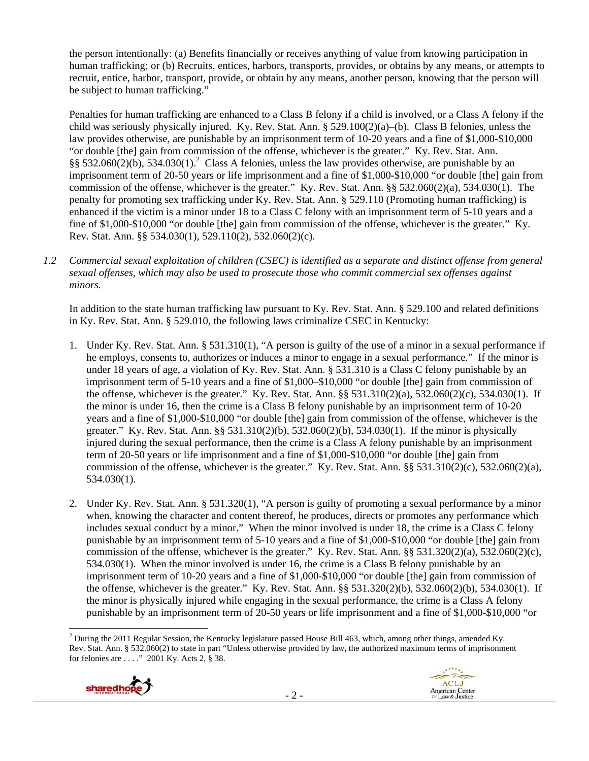the person intentionally: (a) Benefits financially or receives anything of value from knowing participation in human trafficking; or (b) Recruits, entices, harbors, transports, provides, or obtains by any means, or attempts to recruit, entice, harbor, transport, provide, or obtain by any means, another person, knowing that the person will be subject to human trafficking."

Penalties for human trafficking are enhanced to a Class B felony if a child is involved, or a Class A felony if the child was seriously physically injured. Ky. Rev. Stat. Ann. § 529.100(2)(a)–(b). Class B felonies, unless the law provides otherwise, are punishable by an imprisonment term of 10-20 years and a fine of \$1,000-\$10,000 "or double [the] gain from commission of the offense, whichever is the greater." Ky. Rev. Stat. Ann.  $\S$ § 532.060(2)(b), 534.030(1).<sup>2</sup> Class A felonies, unless the law provides otherwise, are punishable by an imprisonment term of 20-50 years or life imprisonment and a fine of \$1,000-\$10,000 "or double [the] gain from commission of the offense, whichever is the greater." Ky. Rev. Stat. Ann. §§ 532.060(2)(a), 534.030(1). The penalty for promoting sex trafficking under Ky. Rev. Stat. Ann. § 529.110 (Promoting human trafficking) is enhanced if the victim is a minor under 18 to a Class C felony with an imprisonment term of 5-10 years and a fine of \$1,000-\$10,000 "or double [the] gain from commission of the offense, whichever is the greater." Ky. Rev. Stat. Ann. §§ 534.030(1), 529.110(2), 532.060(2)(c).

*1.2 Commercial sexual exploitation of children (CSEC) is identified as a separate and distinct offense from general sexual offenses, which may also be used to prosecute those who commit commercial sex offenses against minors.*

In addition to the state human trafficking law pursuant to Ky. Rev. Stat. Ann. § 529.100 and related definitions in Ky. Rev. Stat. Ann. § 529.010, the following laws criminalize CSEC in Kentucky:

- 1. Under Ky. Rev. Stat. Ann. § 531.310(1), "A person is guilty of the use of a minor in a sexual performance if he employs, consents to, authorizes or induces a minor to engage in a sexual performance." If the minor is under 18 years of age, a violation of Ky. Rev. Stat. Ann. § 531.310 is a Class C felony punishable by an imprisonment term of 5-10 years and a fine of \$1,000–\$10,000 "or double [the] gain from commission of the offense, whichever is the greater." Ky. Rev. Stat. Ann.  $\S$ § 531.310(2)(a), 532.060(2)(c), 534.030(1). If the minor is under 16, then the crime is a Class B felony punishable by an imprisonment term of 10-20 years and a fine of \$1,000-\$10,000 "or double [the] gain from commission of the offense, whichever is the greater." Ky. Rev. Stat. Ann. §§ 531.310(2)(b), 532.060(2)(b), 534.030(1). If the minor is physically injured during the sexual performance, then the crime is a Class A felony punishable by an imprisonment term of 20-50 years or life imprisonment and a fine of \$1,000-\$10,000 "or double [the] gain from commission of the offense, whichever is the greater." Ky. Rev. Stat. Ann.  $\S$ § 531.310(2)(c), 532.060(2)(a), 534.030(1).
- 2. Under Ky. Rev. Stat. Ann. § 531.320(1), "A person is guilty of promoting a sexual performance by a minor when, knowing the character and content thereof, he produces, directs or promotes any performance which includes sexual conduct by a minor." When the minor involved is under 18, the crime is a Class C felony punishable by an imprisonment term of 5-10 years and a fine of \$1,000-\$10,000 "or double [the] gain from commission of the offense, whichever is the greater." Ky. Rev. Stat. Ann.  $\S$ § 531.320(2)(a), 532.060(2)(c), 534.030(1). When the minor involved is under 16, the crime is a Class B felony punishable by an imprisonment term of 10-20 years and a fine of \$1,000-\$10,000 "or double [the] gain from commission of the offense, whichever is the greater." Ky. Rev. Stat. Ann. §§ 531.320(2)(b), 532.060(2)(b), 534.030(1). If the minor is physically injured while engaging in the sexual performance, the crime is a Class A felony punishable by an imprisonment term of 20-50 years or life imprisonment and a fine of \$1,000-\$10,000 "or

 <sup>2</sup> During the 2011 Regular Session, the Kentucky legislature passed House Bill 463, which, among other things, amended Ky. Rev. Stat. Ann. § 532.060(2) to state in part "Unless otherwise provided by law, the authorized maximum terms of imprisonment for felonies are . . . ." 2001 Ky. Acts 2, § 38.

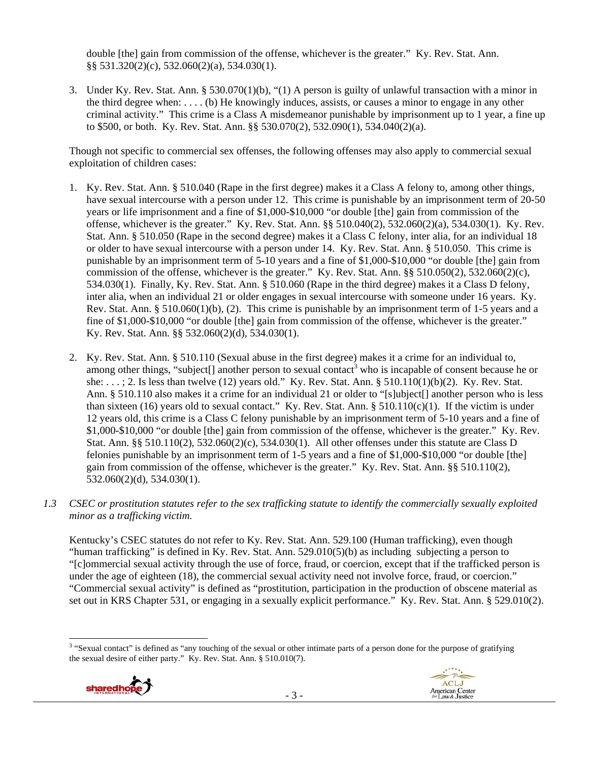double [the] gain from commission of the offense, whichever is the greater." Ky. Rev. Stat. Ann. §§ 531.320(2)(c), 532.060(2)(a), 534.030(1).

3. Under Ky. Rev. Stat. Ann. § 530.070(1)(b), "(1) A person is guilty of unlawful transaction with a minor in the third degree when: . . . . (b) He knowingly induces, assists, or causes a minor to engage in any other criminal activity." This crime is a Class A misdemeanor punishable by imprisonment up to 1 year, a fine up to \$500, or both. Ky. Rev. Stat. Ann. §§ 530.070(2), 532.090(1), 534.040(2)(a).

Though not specific to commercial sex offenses, the following offenses may also apply to commercial sexual exploitation of children cases:

- 1. Ky. Rev. Stat. Ann. § 510.040 (Rape in the first degree) makes it a Class A felony to, among other things, have sexual intercourse with a person under 12. This crime is punishable by an imprisonment term of 20-50 years or life imprisonment and a fine of \$1,000-\$10,000 "or double [the] gain from commission of the offense, whichever is the greater." Ky. Rev. Stat. Ann. §§ 510.040(2), 532.060(2)(a), 534.030(1). Ky. Rev. Stat. Ann. § 510.050 (Rape in the second degree) makes it a Class C felony, inter alia, for an individual 18 or older to have sexual intercourse with a person under 14. Ky. Rev. Stat. Ann. § 510.050. This crime is punishable by an imprisonment term of 5-10 years and a fine of \$1,000-\$10,000 "or double [the] gain from commission of the offense, whichever is the greater." Ky. Rev. Stat. Ann. §§ 510.050(2), 532.060(2)(c), 534.030(1). Finally, Ky. Rev. Stat. Ann. § 510.060 (Rape in the third degree) makes it a Class D felony, inter alia, when an individual 21 or older engages in sexual intercourse with someone under 16 years. Ky. Rev. Stat. Ann. § 510.060(1)(b), (2). This crime is punishable by an imprisonment term of 1-5 years and a fine of \$1,000-\$10,000 "or double [the] gain from commission of the offense, whichever is the greater." Ky. Rev. Stat. Ann. §§ 532.060(2)(d), 534.030(1).
- 2. Ky. Rev. Stat. Ann. § 510.110 (Sexual abuse in the first degree) makes it a crime for an individual to, among other things, "subject[] another person to sexual contact<sup>3</sup> who is incapable of consent because he or she: . . . ; 2. Is less than twelve (12) years old." Ky. Rev. Stat. Ann. § 510.110(1)(b)(2). Ky. Rev. Stat. Ann. § 510.110 also makes it a crime for an individual 21 or older to "[s]ubject[] another person who is less than sixteen (16) years old to sexual contact." Ky. Rev. Stat. Ann.  $\S 510.110(c)(1)$ . If the victim is under 12 years old, this crime is a Class C felony punishable by an imprisonment term of 5-10 years and a fine of \$1,000-\$10,000 "or double [the] gain from commission of the offense, whichever is the greater." Ky. Rev. Stat. Ann. §§ 510.110(2), 532.060(2)(c), 534.030(1). All other offenses under this statute are Class D felonies punishable by an imprisonment term of 1-5 years and a fine of \$1,000-\$10,000 "or double [the] gain from commission of the offense, whichever is the greater." Ky. Rev. Stat. Ann. §§ 510.110(2), 532.060(2)(d), 534.030(1).
- *1.3 CSEC or prostitution statutes refer to the sex trafficking statute to identify the commercially sexually exploited minor as a trafficking victim.*

Kentucky's CSEC statutes do not refer to Ky. Rev. Stat. Ann. 529.100 (Human trafficking), even though "human trafficking" is defined in Ky. Rev. Stat. Ann.  $529.010(5)(b)$  as including subjecting a person to "[c]ommercial sexual activity through the use of force, fraud, or coercion, except that if the trafficked person is under the age of eighteen (18), the commercial sexual activity need not involve force, fraud, or coercion." "Commercial sexual activity" is defined as "prostitution, participation in the production of obscene material as set out in KRS Chapter 531, or engaging in a sexually explicit performance." Ky. Rev. Stat. Ann. § 529.010(2).

 <sup>3</sup> "Sexual contact" is defined as "any touching of the sexual or other intimate parts of a person done for the purpose of gratifying the sexual desire of either party." Ky. Rev. Stat. Ann. § 510.010(7).



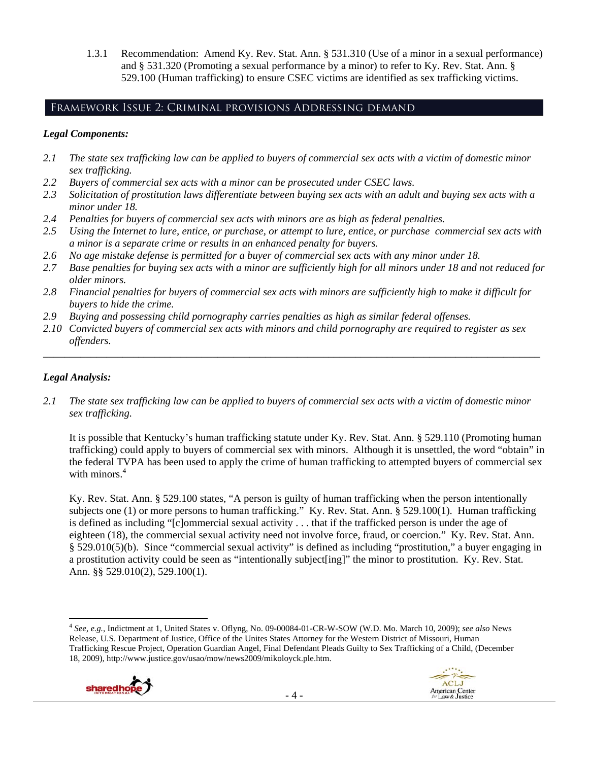1.3.1 Recommendation: Amend Ky. Rev. Stat. Ann. § 531.310 (Use of a minor in a sexual performance) and § 531.320 (Promoting a sexual performance by a minor) to refer to Ky. Rev. Stat. Ann. § 529.100 (Human trafficking) to ensure CSEC victims are identified as sex trafficking victims.

# Framework Issue 2: Criminal provisions Addressing demand

#### *Legal Components:*

- *2.1 The state sex trafficking law can be applied to buyers of commercial sex acts with a victim of domestic minor sex trafficking.*
- *2.2 Buyers of commercial sex acts with a minor can be prosecuted under CSEC laws.*
- *2.3 Solicitation of prostitution laws differentiate between buying sex acts with an adult and buying sex acts with a minor under 18.*
- *2.4 Penalties for buyers of commercial sex acts with minors are as high as federal penalties.*
- *2.5 Using the Internet to lure, entice, or purchase, or attempt to lure, entice, or purchase commercial sex acts with a minor is a separate crime or results in an enhanced penalty for buyers.*
- *2.6 No age mistake defense is permitted for a buyer of commercial sex acts with any minor under 18.*
- *2.7 Base penalties for buying sex acts with a minor are sufficiently high for all minors under 18 and not reduced for older minors.*
- *2.8 Financial penalties for buyers of commercial sex acts with minors are sufficiently high to make it difficult for buyers to hide the crime.*
- *2.9 Buying and possessing child pornography carries penalties as high as similar federal offenses.*
- *2.10 Convicted buyers of commercial sex acts with minors and child pornography are required to register as sex offenders.*

\_\_\_\_\_\_\_\_\_\_\_\_\_\_\_\_\_\_\_\_\_\_\_\_\_\_\_\_\_\_\_\_\_\_\_\_\_\_\_\_\_\_\_\_\_\_\_\_\_\_\_\_\_\_\_\_\_\_\_\_\_\_\_\_\_\_\_\_\_\_\_\_\_\_\_\_\_\_\_\_\_\_\_\_\_\_\_\_\_\_\_\_\_\_

## *Legal Analysis:*

*2.1 The state sex trafficking law can be applied to buyers of commercial sex acts with a victim of domestic minor sex trafficking.* 

It is possible that Kentucky's human trafficking statute under Ky. Rev. Stat. Ann. § 529.110 (Promoting human trafficking) could apply to buyers of commercial sex with minors. Although it is unsettled, the word "obtain" in the federal TVPA has been used to apply the crime of human trafficking to attempted buyers of commercial sex with minors.<sup>4</sup>

Ky. Rev. Stat. Ann. § 529.100 states, "A person is guilty of human trafficking when the person intentionally subjects one (1) or more persons to human trafficking." Ky. Rev. Stat. Ann. § 529.100(1). Human trafficking is defined as including "[c]ommercial sexual activity . . . that if the trafficked person is under the age of eighteen (18), the commercial sexual activity need not involve force, fraud, or coercion." Ky. Rev. Stat. Ann. § 529.010(5)(b). Since "commercial sexual activity" is defined as including "prostitution," a buyer engaging in a prostitution activity could be seen as "intentionally subject[ing]" the minor to prostitution. Ky. Rev. Stat. Ann. §§ 529.010(2), 529.100(1).

 <sup>4</sup> *See, e.g.*, Indictment at 1, United States v. Oflyng, No. 09-00084-01-CR-W-SOW (W.D. Mo. March 10, 2009); *see also* News Release, U.S. Department of Justice, Office of the Unites States Attorney for the Western District of Missouri, Human Trafficking Rescue Project, Operation Guardian Angel, Final Defendant Pleads Guilty to Sex Trafficking of a Child, (December 18, 2009), http://www.justice.gov/usao/mow/news2009/mikoloyck.ple.htm.

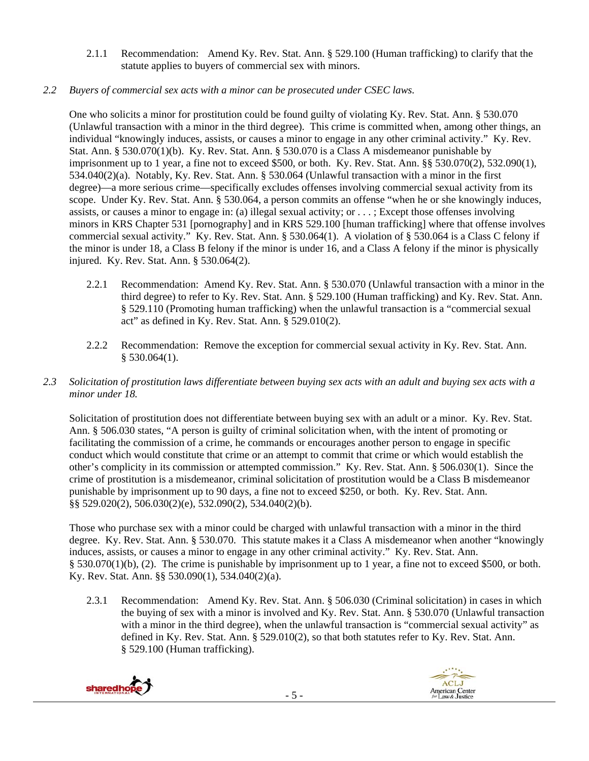2.1.1 Recommendation: Amend Ky. Rev. Stat. Ann. § 529.100 (Human trafficking) to clarify that the statute applies to buyers of commercial sex with minors.

# *2.2 Buyers of commercial sex acts with a minor can be prosecuted under CSEC laws.*

One who solicits a minor for prostitution could be found guilty of violating Ky. Rev. Stat. Ann. § 530.070 (Unlawful transaction with a minor in the third degree). This crime is committed when, among other things, an individual "knowingly induces, assists, or causes a minor to engage in any other criminal activity." Ky. Rev. Stat. Ann. § 530.070(1)(b). Ky. Rev. Stat. Ann. § 530.070 is a Class A misdemeanor punishable by imprisonment up to 1 year, a fine not to exceed \$500, or both. Ky. Rev. Stat. Ann. §§ 530.070(2), 532.090(1), 534.040(2)(a). Notably, Ky. Rev. Stat. Ann. § 530.064 (Unlawful transaction with a minor in the first degree)—a more serious crime—specifically excludes offenses involving commercial sexual activity from its scope. Under Ky. Rev. Stat. Ann. § 530.064, a person commits an offense "when he or she knowingly induces, assists, or causes a minor to engage in: (a) illegal sexual activity; or . . . ; Except those offenses involving minors in KRS Chapter 531 [pornography] and in KRS 529.100 [human trafficking] where that offense involves commercial sexual activity." Ky. Rev. Stat. Ann. § 530.064(1). A violation of § 530.064 is a Class C felony if the minor is under 18, a Class B felony if the minor is under 16, and a Class A felony if the minor is physically injured. Ky. Rev. Stat. Ann. § 530.064(2).

- 2.2.1 Recommendation: Amend Ky. Rev. Stat. Ann. § 530.070 (Unlawful transaction with a minor in the third degree) to refer to Ky. Rev. Stat. Ann. § 529.100 (Human trafficking) and Ky. Rev. Stat. Ann. § 529.110 (Promoting human trafficking) when the unlawful transaction is a "commercial sexual act" as defined in Ky. Rev. Stat. Ann. § 529.010(2).
- 2.2.2 Recommendation: Remove the exception for commercial sexual activity in Ky. Rev. Stat. Ann.  $§$  530.064(1).
- *2.3 Solicitation of prostitution laws differentiate between buying sex acts with an adult and buying sex acts with a minor under 18.*

Solicitation of prostitution does not differentiate between buying sex with an adult or a minor. Ky. Rev. Stat. Ann. § 506.030 states, "A person is guilty of criminal solicitation when, with the intent of promoting or facilitating the commission of a crime, he commands or encourages another person to engage in specific conduct which would constitute that crime or an attempt to commit that crime or which would establish the other's complicity in its commission or attempted commission." Ky. Rev. Stat. Ann. § 506.030(1). Since the crime of prostitution is a misdemeanor, criminal solicitation of prostitution would be a Class B misdemeanor punishable by imprisonment up to 90 days, a fine not to exceed \$250, or both. Ky. Rev. Stat. Ann. §§ 529.020(2), 506.030(2)(e), 532.090(2), 534.040(2)(b).

Those who purchase sex with a minor could be charged with unlawful transaction with a minor in the third degree. Ky. Rev. Stat. Ann. § 530.070. This statute makes it a Class A misdemeanor when another "knowingly induces, assists, or causes a minor to engage in any other criminal activity." Ky. Rev. Stat. Ann. § 530.070(1)(b), (2). The crime is punishable by imprisonment up to 1 year, a fine not to exceed \$500, or both. Ky. Rev. Stat. Ann. §§ 530.090(1), 534.040(2)(a).

2.3.1 Recommendation: Amend Ky. Rev. Stat. Ann. § 506.030 (Criminal solicitation) in cases in which the buying of sex with a minor is involved and Ky. Rev. Stat. Ann. § 530.070 (Unlawful transaction with a minor in the third degree), when the unlawful transaction is "commercial sexual activity" as defined in Ky. Rev. Stat. Ann. § 529.010(2), so that both statutes refer to Ky. Rev. Stat. Ann. § 529.100 (Human trafficking).



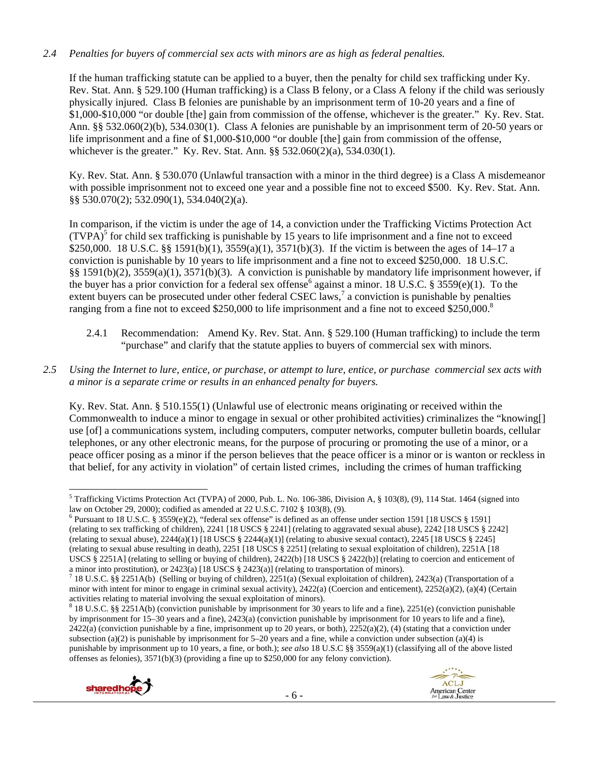#### *2.4 Penalties for buyers of commercial sex acts with minors are as high as federal penalties.*

If the human trafficking statute can be applied to a buyer, then the penalty for child sex trafficking under Ky. Rev. Stat. Ann. § 529.100 (Human trafficking) is a Class B felony, or a Class A felony if the child was seriously physically injured. Class B felonies are punishable by an imprisonment term of 10-20 years and a fine of \$1,000-\$10,000 "or double [the] gain from commission of the offense, whichever is the greater." Ky. Rev. Stat. Ann. §§ 532.060(2)(b), 534.030(1). Class A felonies are punishable by an imprisonment term of 20-50 years or life imprisonment and a fine of \$1,000-\$10,000 "or double [the] gain from commission of the offense, whichever is the greater." Ky. Rev. Stat. Ann. §§ 532.060(2)(a), 534.030(1).

Ky. Rev. Stat. Ann. § 530.070 (Unlawful transaction with a minor in the third degree) is a Class A misdemeanor with possible imprisonment not to exceed one year and a possible fine not to exceed \$500. Ky. Rev. Stat. Ann. §§ 530.070(2); 532.090(1), 534.040(2)(a).

In comparison, if the victim is under the age of 14, a conviction under the Trafficking Victims Protection Act  $(TVPA)^5$  for child sex trafficking is punishable by 15 years to life imprisonment and a fine not to exceed \$250,000. 18 U.S.C. §§ 1591(b)(1), 3559(a)(1), 3571(b)(3). If the victim is between the ages of 14–17 a conviction is punishable by 10 years to life imprisonment and a fine not to exceed \$250,000. 18 U.S.C. §§ 1591(b)(2), 3559(a)(1), 3571(b)(3). A conviction is punishable by mandatory life imprisonment however, if the buyer has a prior conviction for a federal sex offense<sup>6</sup> against a minor. 18 U.S.C. § 3559(e)(1). To the extent buyers can be prosecuted under other federal CSEC laws,<sup>7</sup> a conviction is punishable by penalties ranging from a fine not to exceed \$250,000 to life imprisonment and a fine not to exceed \$250,000.<sup>8</sup>

- 2.4.1 Recommendation: Amend Ky. Rev. Stat. Ann. § 529.100 (Human trafficking) to include the term "purchase" and clarify that the statute applies to buyers of commercial sex with minors.
- *2.5 Using the Internet to lure, entice, or purchase, or attempt to lure, entice, or purchase commercial sex acts with a minor is a separate crime or results in an enhanced penalty for buyers.*

Ky. Rev. Stat. Ann. § 510.155(1) (Unlawful use of electronic means originating or received within the Commonwealth to induce a minor to engage in sexual or other prohibited activities) criminalizes the "knowing[] use [of] a communications system, including computers, computer networks, computer bulletin boards, cellular telephones, or any other electronic means, for the purpose of procuring or promoting the use of a minor, or a peace officer posing as a minor if the person believes that the peace officer is a minor or is wanton or reckless in that belief, for any activity in violation" of certain listed crimes, including the crimes of human trafficking

- 6 -





 <sup>5</sup> Trafficking Victims Protection Act (TVPA) of 2000, Pub. L. No. 106-386, Division A,  $\S$  103(8), (9), 114 Stat. 1464 (signed into law on October 29, 2000); codified as amended at 22 U.S.C. 7102 § 103(8), (9).

<sup>&</sup>lt;sup>6</sup> Pursuant to 18 U.S.C. § 3559(e)(2), "federal sex offense" is defined as an offense under section 1591 [18 USCS § 1591] (relating to sex trafficking of children), 2241 [18 USCS § 2241] (relating to aggravated sexual abuse), 2242 [18 USCS § 2242] (relating to sexual abuse),  $2244(a)(1)$  [18 USCS §  $2244(a)(1)$ ] (relating to abusive sexual contact),  $2245$  [18 USCS § 2245] (relating to sexual abuse resulting in death), 2251 [18 USCS § 2251] (relating to sexual exploitation of children), 2251A [18 USCS § 2251A] (relating to selling or buying of children), 2422(b) [18 USCS § 2422(b)] (relating to coercion and enticement of a minor into prostitution), or 2423(a) [18 USCS § 2423(a)] (relating to transportation of minors).<br><sup>7</sup> 18 U.S.C. §§ 2251A(b) (Selling or buying of children), 2251(a) (Sexual exploitation of children), 2423(a) (Transportat

minor with intent for minor to engage in criminal sexual activity),  $2422(a)$  (Coercion and enticement),  $2252(a)(2)$ ,  $(a)(4)$  (Certain activities relating to material involving the sexual exploitation of minors).

<sup>8</sup> 18 U.S.C. §§ 2251A(b) (conviction punishable by imprisonment for 30 years to life and a fine), 2251(e) (conviction punishable by imprisonment for 15–30 years and a fine), 2423(a) (conviction punishable by imprisonment for 10 years to life and a fine),  $2422(a)$  (conviction punishable by a fine, imprisonment up to 20 years, or both),  $2252(a)(2)$ , (4) (stating that a conviction under subsection (a)(2) is punishable by imprisonment for 5–20 years and a fine, while a conviction under subsection (a)(4) is punishable by imprisonment up to 10 years, a fine, or both.); *see also* 18 U.S.C §§ 3559(a)(1) (classifying all of the above listed offenses as felonies), 3571(b)(3) (providing a fine up to \$250,000 for any felony conviction).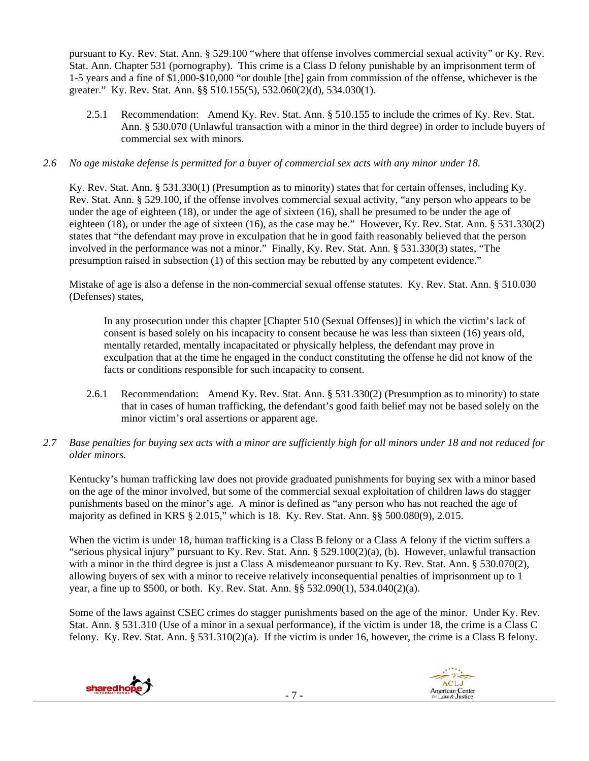pursuant to Ky. Rev. Stat. Ann. § 529.100 "where that offense involves commercial sexual activity" or Ky. Rev. Stat. Ann. Chapter 531 (pornography). This crime is a Class D felony punishable by an imprisonment term of 1-5 years and a fine of \$1,000-\$10,000 "or double [the] gain from commission of the offense, whichever is the greater." Ky. Rev. Stat. Ann. §§ 510.155(5), 532.060(2)(d), 534.030(1).

2.5.1 Recommendation: Amend Ky. Rev. Stat. Ann. § 510.155 to include the crimes of Ky. Rev. Stat. Ann. § 530.070 (Unlawful transaction with a minor in the third degree) in order to include buyers of commercial sex with minors.

#### *2.6 No age mistake defense is permitted for a buyer of commercial sex acts with any minor under 18.*

Ky. Rev. Stat. Ann. § 531.330(1) (Presumption as to minority) states that for certain offenses, including Ky. Rev. Stat. Ann. § 529.100, if the offense involves commercial sexual activity, "any person who appears to be under the age of eighteen (18), or under the age of sixteen (16), shall be presumed to be under the age of eighteen (18), or under the age of sixteen (16), as the case may be." However, Ky. Rev. Stat. Ann. § 531.330(2) states that "the defendant may prove in exculpation that he in good faith reasonably believed that the person involved in the performance was not a minor." Finally, Ky. Rev. Stat. Ann. § 531.330(3) states, "The presumption raised in subsection (1) of this section may be rebutted by any competent evidence."

Mistake of age is also a defense in the non-commercial sexual offense statutes. Ky. Rev. Stat. Ann. § 510.030 (Defenses) states,

In any prosecution under this chapter [Chapter 510 (Sexual Offenses)] in which the victim's lack of consent is based solely on his incapacity to consent because he was less than sixteen (16) years old, mentally retarded, mentally incapacitated or physically helpless, the defendant may prove in exculpation that at the time he engaged in the conduct constituting the offense he did not know of the facts or conditions responsible for such incapacity to consent.

- 2.6.1 Recommendation: Amend Ky. Rev. Stat. Ann. § 531.330(2) (Presumption as to minority) to state that in cases of human trafficking, the defendant's good faith belief may not be based solely on the minor victim's oral assertions or apparent age.
- *2.7 Base penalties for buying sex acts with a minor are sufficiently high for all minors under 18 and not reduced for older minors.*

Kentucky's human trafficking law does not provide graduated punishments for buying sex with a minor based on the age of the minor involved, but some of the commercial sexual exploitation of children laws do stagger punishments based on the minor's age. A minor is defined as "any person who has not reached the age of majority as defined in KRS § 2.015," which is 18. Ky. Rev. Stat. Ann. §§ 500.080(9), 2.015.

When the victim is under 18, human trafficking is a Class B felony or a Class A felony if the victim suffers a "serious physical injury" pursuant to Ky. Rev. Stat. Ann. § 529.100(2)(a), (b). However, unlawful transaction with a minor in the third degree is just a Class A misdemeanor pursuant to Ky. Rev. Stat. Ann. § 530.070(2), allowing buyers of sex with a minor to receive relatively inconsequential penalties of imprisonment up to 1 year, a fine up to \$500, or both. Ky. Rev. Stat. Ann. §§ 532.090(1), 534.040(2)(a).

Some of the laws against CSEC crimes do stagger punishments based on the age of the minor. Under Ky. Rev. Stat. Ann. § 531.310 (Use of a minor in a sexual performance), if the victim is under 18, the crime is a Class C felony. Ky. Rev. Stat. Ann. § 531.310(2)(a). If the victim is under 16, however, the crime is a Class B felony.



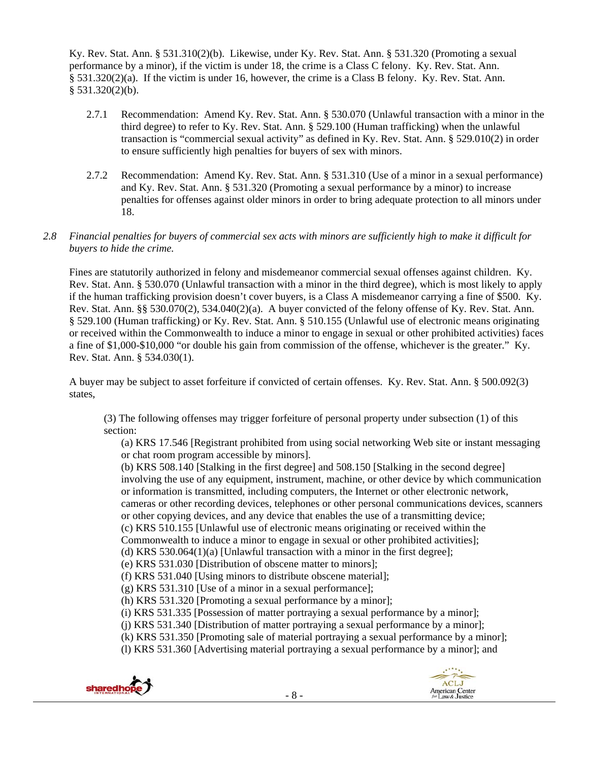Ky. Rev. Stat. Ann. § 531.310(2)(b). Likewise, under Ky. Rev. Stat. Ann. § 531.320 (Promoting a sexual performance by a minor), if the victim is under 18, the crime is a Class C felony. Ky. Rev. Stat. Ann. § 531.320(2)(a). If the victim is under 16, however, the crime is a Class B felony. Ky. Rev. Stat. Ann. § 531.320(2)(b).

- 2.7.1 Recommendation: Amend Ky. Rev. Stat. Ann. § 530.070 (Unlawful transaction with a minor in the third degree) to refer to Ky. Rev. Stat. Ann. § 529.100 (Human trafficking) when the unlawful transaction is "commercial sexual activity" as defined in Ky. Rev. Stat. Ann. § 529.010(2) in order to ensure sufficiently high penalties for buyers of sex with minors.
- 2.7.2 Recommendation: Amend Ky. Rev. Stat. Ann. § 531.310 (Use of a minor in a sexual performance) and Ky. Rev. Stat. Ann. § 531.320 (Promoting a sexual performance by a minor) to increase penalties for offenses against older minors in order to bring adequate protection to all minors under 18.

#### *2.8 Financial penalties for buyers of commercial sex acts with minors are sufficiently high to make it difficult for buyers to hide the crime.*

Fines are statutorily authorized in felony and misdemeanor commercial sexual offenses against children. Ky. Rev. Stat. Ann. § 530.070 (Unlawful transaction with a minor in the third degree), which is most likely to apply if the human trafficking provision doesn't cover buyers, is a Class A misdemeanor carrying a fine of \$500. Ky. Rev. Stat. Ann. §§ 530.070(2), 534.040(2)(a). A buyer convicted of the felony offense of Ky. Rev. Stat. Ann. § 529.100 (Human trafficking) or Ky. Rev. Stat. Ann. § 510.155 (Unlawful use of electronic means originating or received within the Commonwealth to induce a minor to engage in sexual or other prohibited activities) faces a fine of \$1,000-\$10,000 "or double his gain from commission of the offense, whichever is the greater." Ky. Rev. Stat. Ann. § 534.030(1).

A buyer may be subject to asset forfeiture if convicted of certain offenses. Ky. Rev. Stat. Ann. § 500.092(3) states,

(3) The following offenses may trigger forfeiture of personal property under subsection (1) of this section:

(a) KRS 17.546 [Registrant prohibited from using social networking Web site or instant messaging or chat room program accessible by minors].

(b) KRS 508.140 [Stalking in the first degree] and 508.150 [Stalking in the second degree] involving the use of any equipment, instrument, machine, or other device by which communication or information is transmitted, including computers, the Internet or other electronic network, cameras or other recording devices, telephones or other personal communications devices, scanners or other copying devices, and any device that enables the use of a transmitting device; (c) KRS 510.155 [Unlawful use of electronic means originating or received within the Commonwealth to induce a minor to engage in sexual or other prohibited activities];

(d) KRS 530.064(1)(a) [Unlawful transaction with a minor in the first degree];

- (e) KRS 531.030 [Distribution of obscene matter to minors];
- (f) KRS 531.040 [Using minors to distribute obscene material];
- (g) KRS 531.310 [Use of a minor in a sexual performance];
- (h) KRS 531.320 [Promoting a sexual performance by a minor];
- (i) KRS 531.335 [Possession of matter portraying a sexual performance by a minor];
- (j) KRS 531.340 [Distribution of matter portraying a sexual performance by a minor];
- (k) KRS 531.350 [Promoting sale of material portraying a sexual performance by a minor];
- (l) KRS 531.360 [Advertising material portraying a sexual performance by a minor]; and

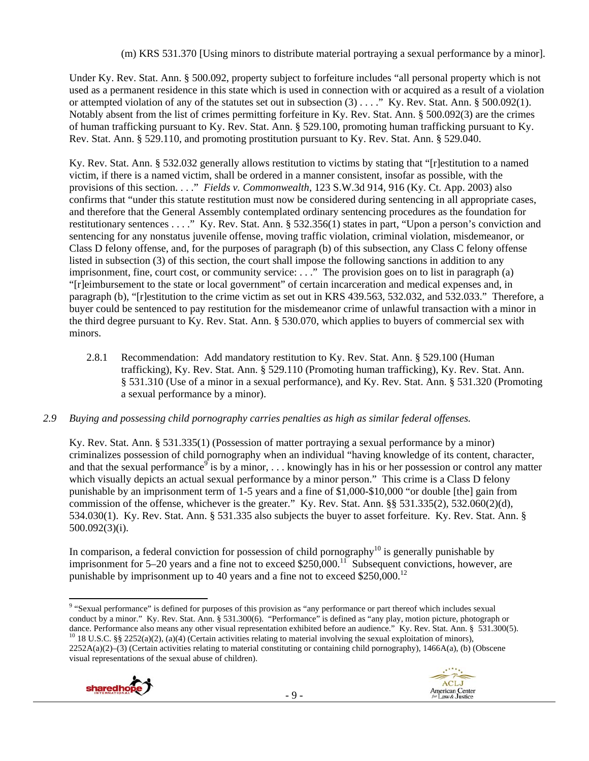(m) KRS 531.370 [Using minors to distribute material portraying a sexual performance by a minor].

Under Ky. Rev. Stat. Ann. § 500.092, property subject to forfeiture includes "all personal property which is not used as a permanent residence in this state which is used in connection with or acquired as a result of a violation or attempted violation of any of the statutes set out in subsection  $(3)$ ...." Ky. Rev. Stat. Ann. § 500.092(1). Notably absent from the list of crimes permitting forfeiture in Ky. Rev. Stat. Ann. § 500.092(3) are the crimes of human trafficking pursuant to Ky. Rev. Stat. Ann. § 529.100, promoting human trafficking pursuant to Ky. Rev. Stat. Ann. § 529.110, and promoting prostitution pursuant to Ky. Rev. Stat. Ann. § 529.040.

Ky. Rev. Stat. Ann. § 532.032 generally allows restitution to victims by stating that "[r]estitution to a named victim, if there is a named victim, shall be ordered in a manner consistent, insofar as possible, with the provisions of this section. . . ." *Fields v. Commonwealth*, 123 S.W.3d 914, 916 (Ky. Ct. App. 2003) also confirms that "under this statute restitution must now be considered during sentencing in all appropriate cases, and therefore that the General Assembly contemplated ordinary sentencing procedures as the foundation for restitutionary sentences . . . ." Ky. Rev. Stat. Ann. § 532.356(1) states in part, "Upon a person's conviction and sentencing for any nonstatus juvenile offense, moving traffic violation, criminal violation, misdemeanor, or Class D felony offense, and, for the purposes of paragraph (b) of this subsection, any Class C felony offense listed in subsection (3) of this section, the court shall impose the following sanctions in addition to any imprisonment, fine, court cost, or community service: . . ." The provision goes on to list in paragraph (a) "[r]eimbursement to the state or local government" of certain incarceration and medical expenses and, in paragraph (b), "[r]estitution to the crime victim as set out in KRS 439.563, 532.032, and 532.033." Therefore, a buyer could be sentenced to pay restitution for the misdemeanor crime of unlawful transaction with a minor in the third degree pursuant to Ky. Rev. Stat. Ann. § 530.070, which applies to buyers of commercial sex with minors.

2.8.1 Recommendation: Add mandatory restitution to Ky. Rev. Stat. Ann. § 529.100 (Human trafficking), Ky. Rev. Stat. Ann. § 529.110 (Promoting human trafficking), Ky. Rev. Stat. Ann. § 531.310 (Use of a minor in a sexual performance), and Ky. Rev. Stat. Ann. § 531.320 (Promoting a sexual performance by a minor).

## *2.9 Buying and possessing child pornography carries penalties as high as similar federal offenses.*

Ky. Rev. Stat. Ann. § 531.335(1) (Possession of matter portraying a sexual performance by a minor) criminalizes possession of child pornography when an individual "having knowledge of its content, character, and that the sexual performance<sup>9</sup> is by a minor, ... knowingly has in his or her possession or control any matter which visually depicts an actual sexual performance by a minor person." This crime is a Class D felony punishable by an imprisonment term of 1-5 years and a fine of \$1,000-\$10,000 "or double [the] gain from commission of the offense, whichever is the greater." Ky. Rev. Stat. Ann. §§ 531.335(2), 532.060(2)(d), 534.030(1). Ky. Rev. Stat. Ann. § 531.335 also subjects the buyer to asset forfeiture. Ky. Rev. Stat. Ann. § 500.092(3)(i).

In comparison, a federal conviction for possession of child pornography $^{10}$  is generally punishable by imprisonment for 5–20 years and a fine not to exceed \$250,000.<sup>11</sup> Subsequent convictions, however, are punishable by imprisonment up to 40 years and a fine not to exceed  $$250,000$ <sup>12</sup>

<sup>&</sup>lt;sup>9</sup> "Sexual performance" is defined for purposes of this provision as "any performance or part thereof which includes sexual conduct by a minor." Ky. Rev. Stat. Ann. § 531.300(6). "Performance" is defined as "any play, motion picture, photograph or dance. Performance also means any other visual representation exhibited before an audience." Ky. Rev. Stat. Ann. § 531.300(5). <sup>10</sup> 18 U.S.C. §§ 2252(a)(2), (a)(4) (Certain activities relating to material involving the se 2252A(a)(2)–(3) (Certain activities relating to material constituting or containing child pornography), 1466A(a), (b) (Obscene visual representations of the sexual abuse of children).

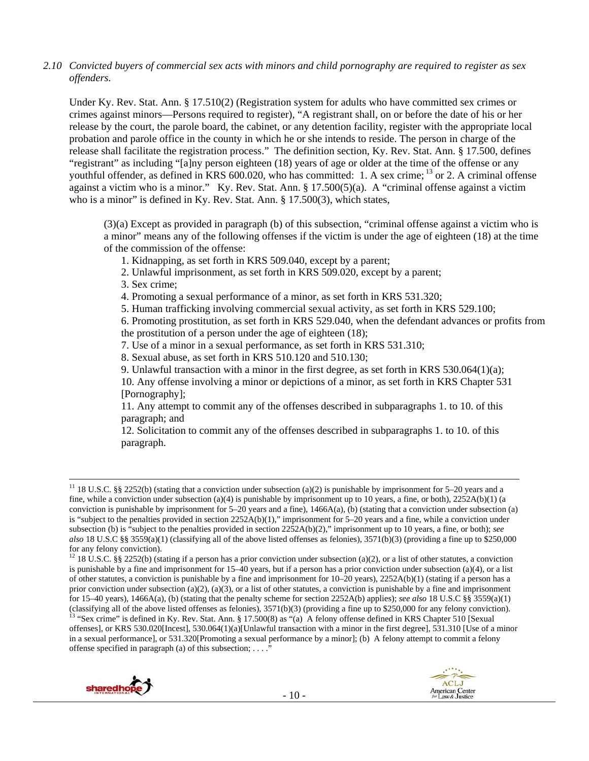*2.10 Convicted buyers of commercial sex acts with minors and child pornography are required to register as sex offenders.*

Under Ky. Rev. Stat. Ann. § 17.510(2) (Registration system for adults who have committed sex crimes or crimes against minors—Persons required to register), "A registrant shall, on or before the date of his or her release by the court, the parole board, the cabinet, or any detention facility, register with the appropriate local probation and parole office in the county in which he or she intends to reside. The person in charge of the release shall facilitate the registration process." The definition section, Ky. Rev. Stat. Ann. § 17.500, defines "registrant" as including "[a]ny person eighteen (18) years of age or older at the time of the offense or any youthful offender, as defined in KRS 600.020, who has committed: 1. A sex crime; <sup>13</sup> or 2. A criminal offense against a victim who is a minor." Ky. Rev. Stat. Ann. § 17.500(5)(a). A "criminal offense against a victim who is a minor" is defined in Ky. Rev. Stat. Ann. § 17.500(3), which states,

(3)(a) Except as provided in paragraph (b) of this subsection, "criminal offense against a victim who is a minor" means any of the following offenses if the victim is under the age of eighteen (18) at the time of the commission of the offense:

- 1. Kidnapping, as set forth in KRS 509.040, except by a parent;
- 2. Unlawful imprisonment, as set forth in KRS 509.020, except by a parent;
- 3. Sex crime;
- 4. Promoting a sexual performance of a minor, as set forth in KRS 531.320;
- 5. Human trafficking involving commercial sexual activity, as set forth in KRS 529.100;

6. Promoting prostitution, as set forth in KRS 529.040, when the defendant advances or profits from the prostitution of a person under the age of eighteen (18);

- 7. Use of a minor in a sexual performance, as set forth in KRS 531.310;
- 8. Sexual abuse, as set forth in KRS 510.120 and 510.130;
- 9. Unlawful transaction with a minor in the first degree, as set forth in KRS  $530.064(1)(a)$ ;

10. Any offense involving a minor or depictions of a minor, as set forth in KRS Chapter 531 [Pornography];

11. Any attempt to commit any of the offenses described in subparagraphs 1. to 10. of this paragraph; and

12. Solicitation to commit any of the offenses described in subparagraphs 1. to 10. of this paragraph.

offenses], or KRS 530.020[Incest], 530.064(1)(a)[Unlawful transaction with a minor in the first degree], 531.310 [Use of a minor in a sexual performance], or 531.320[Promoting a sexual performance by a minor]; (b) A felony attempt to commit a felony offense specified in paragraph (a) of this subsection;  $\dots$ ."



<sup>&</sup>lt;sup>11</sup> 18 U.S.C. §§ 2252(b) (stating that a conviction under subsection (a)(2) is punishable by imprisonment for 5–20 years and a fine, while a conviction under subsection (a)(4) is punishable by imprisonment up to 10 years, a fine, or both),  $2252A(b)(1)$  (a conviction is punishable by imprisonment for  $5-20$  years and a fine),  $1466A(a)$ , (b) (stating that a conviction under subsection (a) is "subject to the penalties provided in section 2252A(b)(1)," imprisonment for 5–20 years and a fine, while a conviction under subsection (b) is "subject to the penalties provided in section 2252A(b)(2)," imprisonment up to 10 years, a fine, or both); *see also* 18 U.S.C §§ 3559(a)(1) (classifying all of the above listed offenses as felonies), 3571(b)(3) (providing a fine up to \$250,000 for any felony conviction).

<sup>&</sup>lt;sup>12</sup> 18 U.S.C. §§ 2252(b) (stating if a person has a prior conviction under subsection (a)(2), or a list of other statutes, a conviction is punishable by a fine and imprisonment for 15–40 years, but if a person has a prior conviction under subsection (a)(4), or a list of other statutes, a conviction is punishable by a fine and imprisonment for 10–20 years), 2252A(b)(1) (stating if a person has a prior conviction under subsection (a)(2), (a)(3), or a list of other statutes, a conviction is punishable by a fine and imprisonment for 15–40 years), 1466A(a), (b) (stating that the penalty scheme for section 2252A(b) applies); *see also* 18 U.S.C §§ 3559(a)(1) (classifying all of the above listed offenses as felonies),  $3571(b)(3)$  (providing a fine up to \$250,000 for any felony conviction).<br><sup>13</sup> "Sex crime" is defined in Ky. Rev. Stat. Ann. § 17.500(8) as "(a) A felony offense d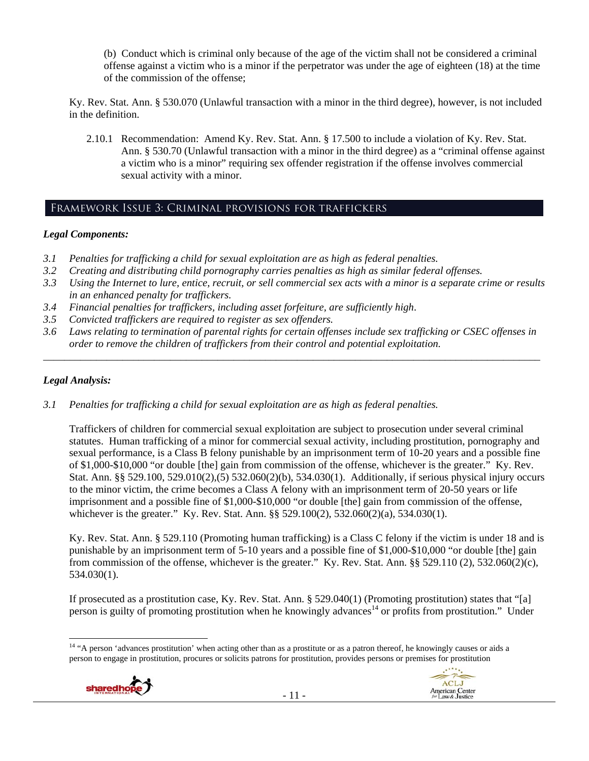(b) Conduct which is criminal only because of the age of the victim shall not be considered a criminal offense against a victim who is a minor if the perpetrator was under the age of eighteen (18) at the time of the commission of the offense;

Ky. Rev. Stat. Ann. § 530.070 (Unlawful transaction with a minor in the third degree), however, is not included in the definition.

2.10.1 Recommendation: Amend Ky. Rev. Stat. Ann. § 17.500 to include a violation of Ky. Rev. Stat. Ann. § 530.70 (Unlawful transaction with a minor in the third degree) as a "criminal offense against a victim who is a minor" requiring sex offender registration if the offense involves commercial sexual activity with a minor.

## Framework Issue 3: Criminal provisions for traffickers

#### *Legal Components:*

- *3.1 Penalties for trafficking a child for sexual exploitation are as high as federal penalties.*
- *3.2 Creating and distributing child pornography carries penalties as high as similar federal offenses.*
- *3.3 Using the Internet to lure, entice, recruit, or sell commercial sex acts with a minor is a separate crime or results in an enhanced penalty for traffickers.*
- *3.4 Financial penalties for traffickers, including asset forfeiture, are sufficiently high*.
- *3.5 Convicted traffickers are required to register as sex offenders.*
- *3.6 Laws relating to termination of parental rights for certain offenses include sex trafficking or CSEC offenses in order to remove the children of traffickers from their control and potential exploitation.*

*\_\_\_\_\_\_\_\_\_\_\_\_\_\_\_\_\_\_\_\_\_\_\_\_\_\_\_\_\_\_\_\_\_\_\_\_\_\_\_\_\_\_\_\_\_\_\_\_\_\_\_\_\_\_\_\_\_\_\_\_\_\_\_\_\_\_\_\_\_\_\_\_\_\_\_\_\_\_\_\_\_\_\_\_\_\_\_\_\_\_\_\_\_\_* 

#### *Legal Analysis:*

*3.1 Penalties for trafficking a child for sexual exploitation are as high as federal penalties.* 

Traffickers of children for commercial sexual exploitation are subject to prosecution under several criminal statutes. Human trafficking of a minor for commercial sexual activity, including prostitution, pornography and sexual performance, is a Class B felony punishable by an imprisonment term of 10-20 years and a possible fine of \$1,000-\$10,000 "or double [the] gain from commission of the offense, whichever is the greater." Ky. Rev. Stat. Ann. §§ 529.100, 529.010(2),(5) 532.060(2)(b), 534.030(1). Additionally, if serious physical injury occurs to the minor victim, the crime becomes a Class A felony with an imprisonment term of 20-50 years or life imprisonment and a possible fine of \$1,000-\$10,000 "or double [the] gain from commission of the offense, whichever is the greater." Ky. Rev. Stat. Ann. §§ 529.100(2), 532.060(2)(a), 534.030(1).

Ky. Rev. Stat. Ann. § 529.110 (Promoting human trafficking) is a Class C felony if the victim is under 18 and is punishable by an imprisonment term of 5-10 years and a possible fine of \$1,000-\$10,000 "or double [the] gain from commission of the offense, whichever is the greater." Ky. Rev. Stat. Ann. §§ 529.110 (2), 532.060(2)(c), 534.030(1).

If prosecuted as a prostitution case, Ky. Rev. Stat. Ann. § 529.040(1) (Promoting prostitution) states that "[a] person is guilty of promoting prostitution when he knowingly advances<sup>14</sup> or profits from prostitution." Under

 <sup>14</sup> "A person 'advances prostitution' when acting other than as a prostitute or as a patron thereof, he knowingly causes or aids a person to engage in prostitution, procures or solicits patrons for prostitution, provides persons or premises for prostitution



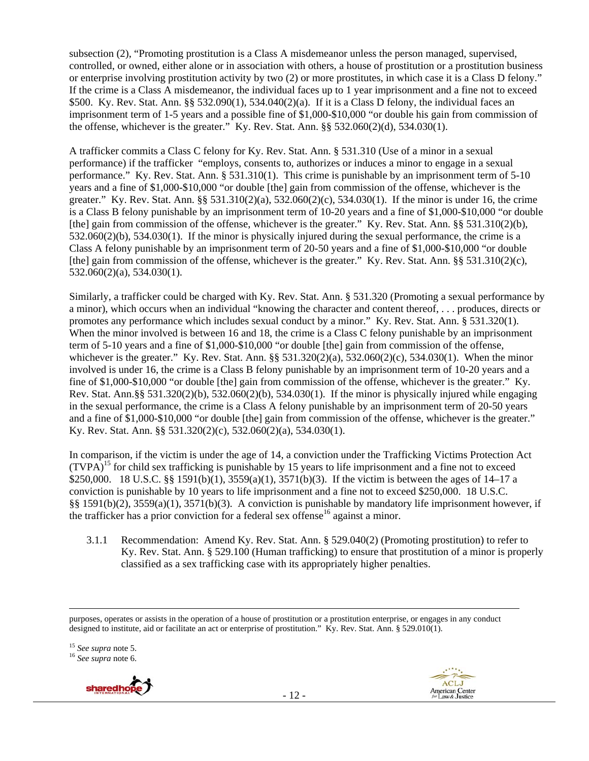subsection (2), "Promoting prostitution is a Class A misdemeanor unless the person managed, supervised, controlled, or owned, either alone or in association with others, a house of prostitution or a prostitution business or enterprise involving prostitution activity by two (2) or more prostitutes, in which case it is a Class D felony." If the crime is a Class A misdemeanor, the individual faces up to 1 year imprisonment and a fine not to exceed \$500. Ky. Rev. Stat. Ann. §§ 532.090(1), 534.040(2)(a). If it is a Class D felony, the individual faces an imprisonment term of 1-5 years and a possible fine of \$1,000-\$10,000 "or double his gain from commission of the offense, whichever is the greater." Ky. Rev. Stat. Ann.  $\S § 532.060(2)(d)$ ,  $534.030(1)$ .

A trafficker commits a Class C felony for Ky. Rev. Stat. Ann. § 531.310 (Use of a minor in a sexual performance) if the trafficker "employs, consents to, authorizes or induces a minor to engage in a sexual performance." Ky. Rev. Stat. Ann. § 531.310(1). This crime is punishable by an imprisonment term of 5-10 years and a fine of \$1,000-\$10,000 "or double [the] gain from commission of the offense, whichever is the greater." Ky. Rev. Stat. Ann. §§ 531.310(2)(a), 532.060(2)(c), 534.030(1). If the minor is under 16, the crime is a Class B felony punishable by an imprisonment term of 10-20 years and a fine of \$1,000-\$10,000 "or double [the] gain from commission of the offense, whichever is the greater." Ky. Rev. Stat. Ann. §§ 531.310(2)(b), 532.060(2)(b), 534.030(1). If the minor is physically injured during the sexual performance, the crime is a Class A felony punishable by an imprisonment term of 20-50 years and a fine of \$1,000-\$10,000 "or double [the] gain from commission of the offense, whichever is the greater." Ky. Rev. Stat. Ann. §§ 531.310(2)(c), 532.060(2)(a), 534.030(1).

Similarly, a trafficker could be charged with Ky. Rev. Stat. Ann. § 531.320 (Promoting a sexual performance by a minor), which occurs when an individual "knowing the character and content thereof, . . . produces, directs or promotes any performance which includes sexual conduct by a minor." Ky. Rev. Stat. Ann. § 531.320(1). When the minor involved is between 16 and 18, the crime is a Class C felony punishable by an imprisonment term of 5-10 years and a fine of \$1,000-\$10,000 "or double [the] gain from commission of the offense, whichever is the greater." Ky. Rev. Stat. Ann. §§ 531.320(2)(a), 532.060(2)(c), 534.030(1). When the minor involved is under 16, the crime is a Class B felony punishable by an imprisonment term of 10-20 years and a fine of \$1,000-\$10,000 "or double [the] gain from commission of the offense, whichever is the greater." Ky. Rev. Stat. Ann.§§ 531.320(2)(b), 532.060(2)(b), 534.030(1). If the minor is physically injured while engaging in the sexual performance, the crime is a Class A felony punishable by an imprisonment term of 20-50 years and a fine of \$1,000-\$10,000 "or double [the] gain from commission of the offense, whichever is the greater." Ky. Rev. Stat. Ann. §§ 531.320(2)(c), 532.060(2)(a), 534.030(1).

In comparison, if the victim is under the age of 14, a conviction under the Trafficking Victims Protection Act  $(TVPA)^{15}$  for child sex trafficking is punishable by 15 years to life imprisonment and a fine not to exceed \$250,000. 18 U.S.C. §§ 1591(b)(1), 3559(a)(1), 3571(b)(3). If the victim is between the ages of 14–17 a conviction is punishable by 10 years to life imprisonment and a fine not to exceed \$250,000. 18 U.S.C. §§ 1591(b)(2), 3559(a)(1), 3571(b)(3). A conviction is punishable by mandatory life imprisonment however, if the trafficker has a prior conviction for a federal sex offense<sup>16</sup> against a minor.

3.1.1 Recommendation: Amend Ky. Rev. Stat. Ann. § 529.040(2) (Promoting prostitution) to refer to Ky. Rev. Stat. Ann. § 529.100 (Human trafficking) to ensure that prostitution of a minor is properly classified as a sex trafficking case with its appropriately higher penalties.

purposes, operates or assists in the operation of a house of prostitution or a prostitution enterprise, or engages in any conduct designed to institute, aid or facilitate an act or enterprise of prostitution." Ky. Rev. Stat. Ann. § 529.010(1).

<u> 1989 - Johann Stein, marwolaethau a gweledydd a ganrad y ganrad y ganrad y ganrad y ganrad y ganrad y ganrad</u>

<sup>15</sup> *See supra* note 5. 16 *See supra* note 6.

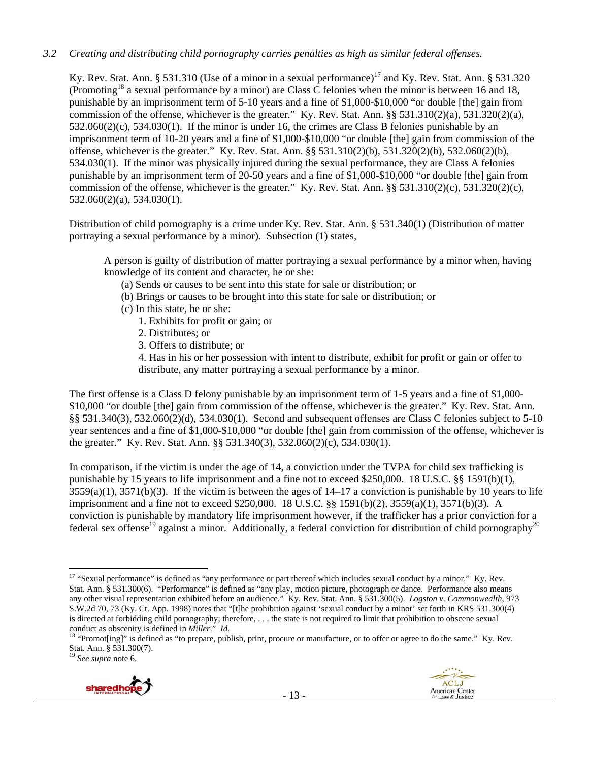#### *3.2 Creating and distributing child pornography carries penalties as high as similar federal offenses.*

Ky. Rev. Stat. Ann. § 531.310 (Use of a minor in a sexual performance)<sup>17</sup> and Ky. Rev. Stat. Ann. § 531.320 (Promoting18 a sexual performance by a minor) are Class C felonies when the minor is between 16 and 18, punishable by an imprisonment term of 5-10 years and a fine of \$1,000-\$10,000 "or double [the] gain from commission of the offense, whichever is the greater." Ky. Rev. Stat. Ann.  $\S$ § 531.310(2)(a), 531.320(2)(a), 532.060(2)(c), 534.030(1). If the minor is under 16, the crimes are Class B felonies punishable by an imprisonment term of 10-20 years and a fine of \$1,000-\$10,000 "or double [the] gain from commission of the offense, whichever is the greater." Ky. Rev. Stat. Ann. §§ 531.310(2)(b), 531.320(2)(b), 532.060(2)(b), 534.030(1). If the minor was physically injured during the sexual performance, they are Class A felonies punishable by an imprisonment term of 20-50 years and a fine of \$1,000-\$10,000 "or double [the] gain from commission of the offense, whichever is the greater." Ky. Rev. Stat. Ann. §§ 531.310(2)(c), 531.320(2)(c), 532.060(2)(a), 534.030(1).

Distribution of child pornography is a crime under Ky. Rev. Stat. Ann. § 531.340(1) (Distribution of matter portraying a sexual performance by a minor). Subsection (1) states,

A person is guilty of distribution of matter portraying a sexual performance by a minor when, having knowledge of its content and character, he or she:

- (a) Sends or causes to be sent into this state for sale or distribution; or
- (b) Brings or causes to be brought into this state for sale or distribution; or
- (c) In this state, he or she:
	- 1. Exhibits for profit or gain; or
	- 2. Distributes; or
	- 3. Offers to distribute; or

4. Has in his or her possession with intent to distribute, exhibit for profit or gain or offer to distribute, any matter portraying a sexual performance by a minor.

The first offense is a Class D felony punishable by an imprisonment term of 1-5 years and a fine of \$1,000- \$10,000 "or double [the] gain from commission of the offense, whichever is the greater." Ky. Rev. Stat. Ann. §§ 531.340(3), 532.060(2)(d), 534.030(1). Second and subsequent offenses are Class C felonies subject to 5-10 year sentences and a fine of \$1,000-\$10,000 "or double [the] gain from commission of the offense, whichever is the greater." Ky. Rev. Stat. Ann. §§ 531.340(3), 532.060(2)(c), 534.030(1).

In comparison, if the victim is under the age of 14, a conviction under the TVPA for child sex trafficking is punishable by 15 years to life imprisonment and a fine not to exceed \$250,000. 18 U.S.C. §§ 1591(b)(1),  $3559(a)(1)$ ,  $3571(b)(3)$ . If the victim is between the ages of  $14-17$  a conviction is punishable by 10 years to life imprisonment and a fine not to exceed \$250,000. 18 U.S.C. §§ 1591(b)(2), 3559(a)(1), 3571(b)(3). A conviction is punishable by mandatory life imprisonment however, if the trafficker has a prior conviction for a federal sex offense<sup>19</sup> against a minor. Additionally, a federal conviction for distribution of child pornography<sup>20</sup>

<sup>19</sup> *See supra* note 6.



 <sup>17</sup> "Sexual performance" is defined as "any performance or part thereof which includes sexual conduct by a minor." Ky. Rev. Stat. Ann. § 531.300(6). "Performance" is defined as "any play, motion picture, photograph or dance. Performance also means any other visual representation exhibited before an audience." Ky. Rev. Stat. Ann. § 531.300(5). *Logston v. Commonwealth*, 973 S.W.2d 70, 73 (Ky. Ct. App. 1998) notes that "[t]he prohibition against 'sexual conduct by a minor' set forth in KRS 531.300(4) is directed at forbidding child pornography; therefore, ... the state is not required to limit that prohibition to obscene sexual conduct as obscenity is defined in  $Miller$ ."  $Id$ .

<sup>&</sup>lt;sup>18</sup> "Promot[ing]" is defined as "to prepare, publish, print, procure or manufacture, or to offer or agree to do the same." Ky. Rev. Stat. Ann. § 531.300(7).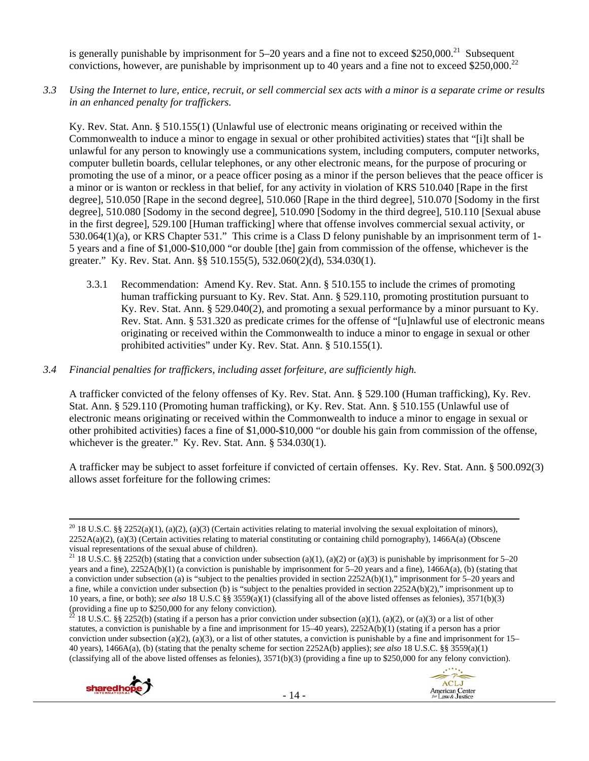is generally punishable by imprisonment for  $5-20$  years and a fine not to exceed \$250,000.<sup>21</sup> Subsequent convictions, however, are punishable by imprisonment up to 40 years and a fine not to exceed \$250,000.<sup>22</sup>

*3.3 Using the Internet to lure, entice, recruit, or sell commercial sex acts with a minor is a separate crime or results in an enhanced penalty for traffickers.* 

Ky. Rev. Stat. Ann. § 510.155(1) (Unlawful use of electronic means originating or received within the Commonwealth to induce a minor to engage in sexual or other prohibited activities) states that "[i]t shall be unlawful for any person to knowingly use a communications system, including computers, computer networks, computer bulletin boards, cellular telephones, or any other electronic means, for the purpose of procuring or promoting the use of a minor, or a peace officer posing as a minor if the person believes that the peace officer is a minor or is wanton or reckless in that belief, for any activity in violation of KRS 510.040 [Rape in the first degree], 510.050 [Rape in the second degree], 510.060 [Rape in the third degree], 510.070 [Sodomy in the first degree], 510.080 [Sodomy in the second degree], 510.090 [Sodomy in the third degree], 510.110 [Sexual abuse in the first degree], 529.100 [Human trafficking] where that offense involves commercial sexual activity, or 530.064(1)(a), or KRS Chapter 531." This crime is a Class D felony punishable by an imprisonment term of 1- 5 years and a fine of \$1,000-\$10,000 "or double [the] gain from commission of the offense, whichever is the greater." Ky. Rev. Stat. Ann. §§ 510.155(5), 532.060(2)(d), 534.030(1).

- 3.3.1 Recommendation: Amend Ky. Rev. Stat. Ann. § 510.155 to include the crimes of promoting human trafficking pursuant to Ky. Rev. Stat. Ann. § 529.110, promoting prostitution pursuant to Ky. Rev. Stat. Ann. § 529.040(2), and promoting a sexual performance by a minor pursuant to Ky. Rev. Stat. Ann. § 531.320 as predicate crimes for the offense of "[u]nlawful use of electronic means originating or received within the Commonwealth to induce a minor to engage in sexual or other prohibited activities" under Ky. Rev. Stat. Ann. § 510.155(1).
- *3.4 Financial penalties for traffickers, including asset forfeiture, are sufficiently high.*

A trafficker convicted of the felony offenses of Ky. Rev. Stat. Ann. § 529.100 (Human trafficking), Ky. Rev. Stat. Ann. § 529.110 (Promoting human trafficking), or Ky. Rev. Stat. Ann. § 510.155 (Unlawful use of electronic means originating or received within the Commonwealth to induce a minor to engage in sexual or other prohibited activities) faces a fine of \$1,000-\$10,000 "or double his gain from commission of the offense, whichever is the greater." Ky. Rev. Stat. Ann. § 534.030(1).

A trafficker may be subject to asset forfeiture if convicted of certain offenses. Ky. Rev. Stat. Ann. § 500.092(3) allows asset forfeiture for the following crimes:

<sup>18</sup> U.S.C. §§ 2252(b) (stating if a person has a prior conviction under subsection (a)(1), (a)(2), or (a)(3) or a list of other statutes, a conviction is punishable by a fine and imprisonment for 15–40 years), 2252A(b)(1) (stating if a person has a prior conviction under subsection (a)(2), (a)(3), or a list of other statutes, a conviction is punishable by a fine and imprisonment for  $15-$ 40 years), 1466A(a), (b) (stating that the penalty scheme for section 2252A(b) applies); *see also* 18 U.S.C. §§ 3559(a)(1) (classifying all of the above listed offenses as felonies), 3571(b)(3) (providing a fine up to \$250,000 for any felony conviction).





<sup>&</sup>lt;sup>20</sup> 18 U.S.C. §§ 2252(a)(1), (a)(2), (a)(3) (Certain activities relating to material involving the sexual exploitation of minors), 2252A(a)(2), (a)(3) (Certain activities relating to material constituting or containing child pornography), 1466A(a) (Obscene visual representations of the sexual abuse of children).

<sup>&</sup>lt;sup>21</sup> 18 U.S.C. §§ 2252(b) (stating that a conviction under subsection (a)(1), (a)(2) or (a)(3) is punishable by imprisonment for 5–20 years and a fine), 2252A(b)(1) (a conviction is punishable by imprisonment for 5–20 years and a fine), 1466A(a), (b) (stating that a conviction under subsection (a) is "subject to the penalties provided in section 2252A(b)(1)," imprisonment for 5–20 years and a fine, while a conviction under subsection (b) is "subject to the penalties provided in section 2252A(b)(2)," imprisonment up to 10 years, a fine, or both); *see also* 18 U.S.C §§ 3559(a)(1) (classifying all of the above listed offenses as felonies), 3571(b)(3) (providing a fine up to \$250,000 for any felony conviction).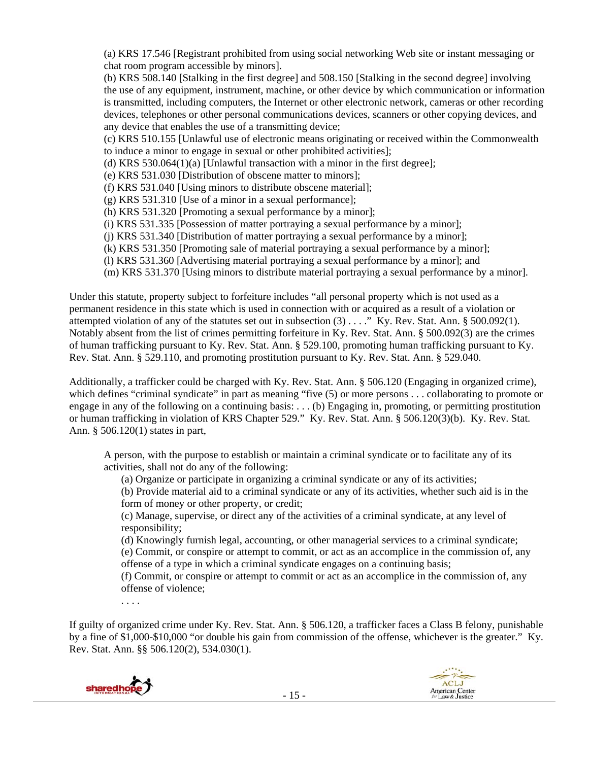(a) KRS 17.546 [Registrant prohibited from using social networking Web site or instant messaging or chat room program accessible by minors].

(b) KRS 508.140 [Stalking in the first degree] and 508.150 [Stalking in the second degree] involving the use of any equipment, instrument, machine, or other device by which communication or information is transmitted, including computers, the Internet or other electronic network, cameras or other recording devices, telephones or other personal communications devices, scanners or other copying devices, and any device that enables the use of a transmitting device;

(c) KRS 510.155 [Unlawful use of electronic means originating or received within the Commonwealth to induce a minor to engage in sexual or other prohibited activities];

(d) KRS 530.064(1)(a) [Unlawful transaction with a minor in the first degree];

(e) KRS 531.030 [Distribution of obscene matter to minors];

(f) KRS 531.040 [Using minors to distribute obscene material];

(g) KRS 531.310 [Use of a minor in a sexual performance];

(h) KRS 531.320 [Promoting a sexual performance by a minor];

(i) KRS 531.335 [Possession of matter portraying a sexual performance by a minor];

(j) KRS 531.340 [Distribution of matter portraying a sexual performance by a minor];

(k) KRS 531.350 [Promoting sale of material portraying a sexual performance by a minor];

(l) KRS 531.360 [Advertising material portraying a sexual performance by a minor]; and

(m) KRS 531.370 [Using minors to distribute material portraying a sexual performance by a minor].

Under this statute, property subject to forfeiture includes "all personal property which is not used as a permanent residence in this state which is used in connection with or acquired as a result of a violation or attempted violation of any of the statutes set out in subsection (3) . . . ." Ky. Rev. Stat. Ann. § 500.092(1). Notably absent from the list of crimes permitting forfeiture in Ky. Rev. Stat. Ann. § 500.092(3) are the crimes of human trafficking pursuant to Ky. Rev. Stat. Ann. § 529.100, promoting human trafficking pursuant to Ky. Rev. Stat. Ann. § 529.110, and promoting prostitution pursuant to Ky. Rev. Stat. Ann. § 529.040.

Additionally, a trafficker could be charged with Ky. Rev. Stat. Ann. § 506.120 (Engaging in organized crime), which defines "criminal syndicate" in part as meaning "five (5) or more persons . . . collaborating to promote or engage in any of the following on a continuing basis: . . . (b) Engaging in, promoting, or permitting prostitution or human trafficking in violation of KRS Chapter 529." Ky. Rev. Stat. Ann. § 506.120(3)(b). Ky. Rev. Stat. Ann. § 506.120(1) states in part,

A person, with the purpose to establish or maintain a criminal syndicate or to facilitate any of its activities, shall not do any of the following:

(a) Organize or participate in organizing a criminal syndicate or any of its activities;

(b) Provide material aid to a criminal syndicate or any of its activities, whether such aid is in the form of money or other property, or credit;

(c) Manage, supervise, or direct any of the activities of a criminal syndicate, at any level of responsibility;

(d) Knowingly furnish legal, accounting, or other managerial services to a criminal syndicate;

(e) Commit, or conspire or attempt to commit, or act as an accomplice in the commission of, any offense of a type in which a criminal syndicate engages on a continuing basis;

(f) Commit, or conspire or attempt to commit or act as an accomplice in the commission of, any offense of violence;

. . . .

If guilty of organized crime under Ky. Rev. Stat. Ann. § 506.120, a trafficker faces a Class B felony, punishable by a fine of \$1,000-\$10,000 "or double his gain from commission of the offense, whichever is the greater." Ky. Rev. Stat. Ann. §§ 506.120(2), 534.030(1).

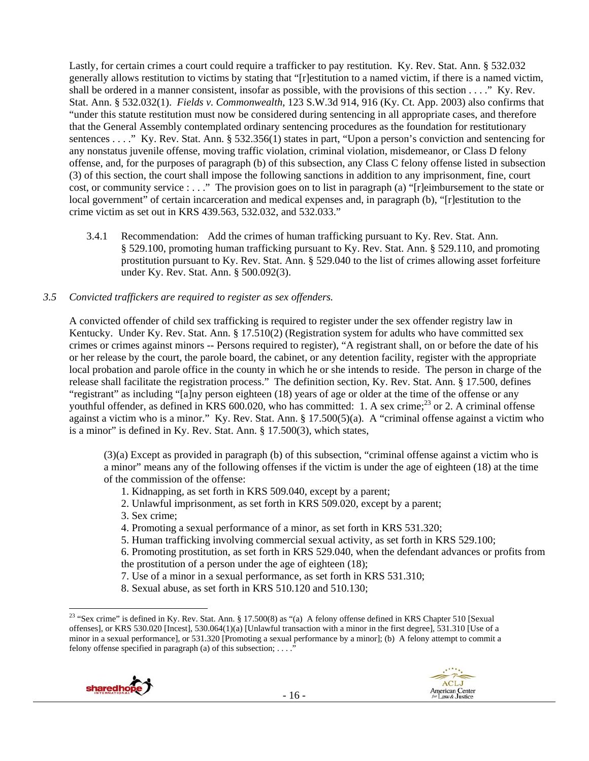Lastly, for certain crimes a court could require a trafficker to pay restitution. Ky. Rev. Stat. Ann. § 532.032 generally allows restitution to victims by stating that "[r]estitution to a named victim, if there is a named victim, shall be ordered in a manner consistent, insofar as possible, with the provisions of this section . . . ." Ky. Rev. Stat. Ann. § 532.032(1). *Fields v. Commonwealth*, 123 S.W.3d 914, 916 (Ky. Ct. App. 2003) also confirms that "under this statute restitution must now be considered during sentencing in all appropriate cases, and therefore that the General Assembly contemplated ordinary sentencing procedures as the foundation for restitutionary sentences . . . ." Ky. Rev. Stat. Ann. § 532.356(1) states in part, "Upon a person's conviction and sentencing for any nonstatus juvenile offense, moving traffic violation, criminal violation, misdemeanor, or Class D felony offense, and, for the purposes of paragraph (b) of this subsection, any Class C felony offense listed in subsection (3) of this section, the court shall impose the following sanctions in addition to any imprisonment, fine, court cost, or community service : . . ." The provision goes on to list in paragraph (a) "[r]eimbursement to the state or local government" of certain incarceration and medical expenses and, in paragraph (b), "[r]estitution to the crime victim as set out in KRS 439.563, 532.032, and 532.033."

3.4.1 Recommendation: Add the crimes of human trafficking pursuant to Ky. Rev. Stat. Ann. § 529.100, promoting human trafficking pursuant to Ky. Rev. Stat. Ann. § 529.110, and promoting prostitution pursuant to Ky. Rev. Stat. Ann. § 529.040 to the list of crimes allowing asset forfeiture under Ky. Rev. Stat. Ann. § 500.092(3).

#### *3.5 Convicted traffickers are required to register as sex offenders.*

A convicted offender of child sex trafficking is required to register under the sex offender registry law in Kentucky. Under Ky. Rev. Stat. Ann. § 17.510(2) (Registration system for adults who have committed sex crimes or crimes against minors -- Persons required to register), "A registrant shall, on or before the date of his or her release by the court, the parole board, the cabinet, or any detention facility, register with the appropriate local probation and parole office in the county in which he or she intends to reside. The person in charge of the release shall facilitate the registration process." The definition section, Ky. Rev. Stat. Ann. § 17.500, defines "registrant" as including "[a]ny person eighteen (18) years of age or older at the time of the offense or any youthful offender, as defined in KRS 600.020, who has committed: 1. A sex crime;<sup>23</sup> or 2. A criminal offense against a victim who is a minor." Ky. Rev. Stat. Ann. § 17.500(5)(a). A "criminal offense against a victim who is a minor" is defined in Ky. Rev. Stat. Ann. § 17.500(3), which states,

(3)(a) Except as provided in paragraph (b) of this subsection, "criminal offense against a victim who is a minor" means any of the following offenses if the victim is under the age of eighteen (18) at the time of the commission of the offense:

- 1. Kidnapping, as set forth in KRS 509.040, except by a parent;
- 2. Unlawful imprisonment, as set forth in KRS 509.020, except by a parent;
- 3. Sex crime;
- 4. Promoting a sexual performance of a minor, as set forth in KRS 531.320;
- 5. Human trafficking involving commercial sexual activity, as set forth in KRS 529.100;

6. Promoting prostitution, as set forth in KRS 529.040, when the defendant advances or profits from the prostitution of a person under the age of eighteen (18);

- 7. Use of a minor in a sexual performance, as set forth in KRS 531.310;
- 8. Sexual abuse, as set forth in KRS 510.120 and 510.130;

 <sup>23</sup> "Sex crime" is defined in Ky. Rev. Stat. Ann. § 17.500(8) as "(a) A felony offense defined in KRS Chapter 510 [Sexual offenses], or KRS 530.020 [Incest], 530.064(1)(a) [Unlawful transaction with a minor in the first degree], 531.310 [Use of a minor in a sexual performance], or 531.320 [Promoting a sexual performance by a minor]; (b) A felony attempt to commit a felony offense specified in paragraph (a) of this subsection; ...."

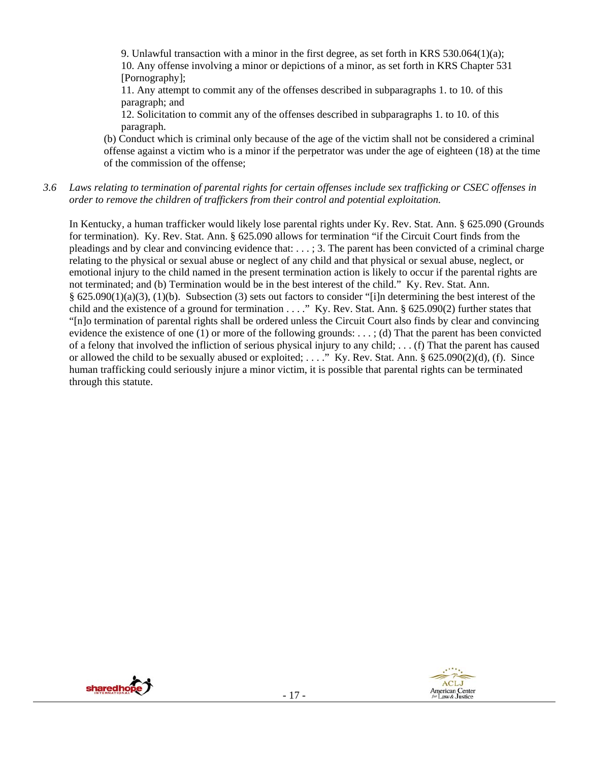9. Unlawful transaction with a minor in the first degree, as set forth in KRS 530.064(1)(a); 10. Any offense involving a minor or depictions of a minor, as set forth in KRS Chapter 531 [Pornography];

11. Any attempt to commit any of the offenses described in subparagraphs 1. to 10. of this paragraph; and

12. Solicitation to commit any of the offenses described in subparagraphs 1. to 10. of this paragraph.

(b) Conduct which is criminal only because of the age of the victim shall not be considered a criminal offense against a victim who is a minor if the perpetrator was under the age of eighteen (18) at the time of the commission of the offense;

*3.6 Laws relating to termination of parental rights for certain offenses include sex trafficking or CSEC offenses in order to remove the children of traffickers from their control and potential exploitation.*

In Kentucky, a human trafficker would likely lose parental rights under Ky. Rev. Stat. Ann. § 625.090 (Grounds for termination). Ky. Rev. Stat. Ann. § 625.090 allows for termination "if the Circuit Court finds from the pleadings and by clear and convincing evidence that: . . . ; 3. The parent has been convicted of a criminal charge relating to the physical or sexual abuse or neglect of any child and that physical or sexual abuse, neglect, or emotional injury to the child named in the present termination action is likely to occur if the parental rights are not terminated; and (b) Termination would be in the best interest of the child." Ky. Rev. Stat. Ann. § 625.090(1)(a)(3), (1)(b). Subsection (3) sets out factors to consider "[i]n determining the best interest of the child and the existence of a ground for termination . . . ." Ky. Rev. Stat. Ann. § 625.090(2) further states that "[n]o termination of parental rights shall be ordered unless the Circuit Court also finds by clear and convincing evidence the existence of one (1) or more of the following grounds: . . . ; (d) That the parent has been convicted of a felony that involved the infliction of serious physical injury to any child; . . . (f) That the parent has caused or allowed the child to be sexually abused or exploited; ...." Ky. Rev. Stat. Ann.  $\S$  625.090(2)(d), (f). Since human trafficking could seriously injure a minor victim, it is possible that parental rights can be terminated through this statute.



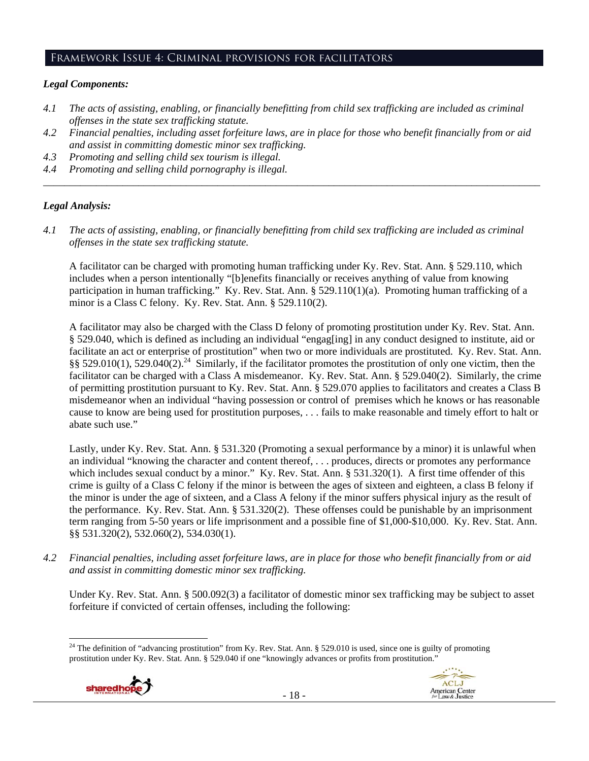#### Framework Issue 4: Criminal provisions for facilitators

#### *Legal Components:*

- *4.1 The acts of assisting, enabling, or financially benefitting from child sex trafficking are included as criminal offenses in the state sex trafficking statute.*
- *4.2 Financial penalties, including asset forfeiture laws, are in place for those who benefit financially from or aid and assist in committing domestic minor sex trafficking.*
- *4.3 Promoting and selling child sex tourism is illegal.*
- *4.4 Promoting and selling child pornography is illegal. \_\_\_\_\_\_\_\_\_\_\_\_\_\_\_\_\_\_\_\_\_\_\_\_\_\_\_\_\_\_\_\_\_\_\_\_\_\_\_\_\_\_\_\_\_\_\_\_\_\_\_\_\_\_\_\_\_\_\_\_\_\_\_\_\_\_\_\_\_\_\_\_\_\_\_\_\_\_\_\_\_\_\_\_\_\_\_\_\_\_\_\_\_\_*

## *Legal Analysis:*

*4.1 The acts of assisting, enabling, or financially benefitting from child sex trafficking are included as criminal offenses in the state sex trafficking statute.*

A facilitator can be charged with promoting human trafficking under Ky. Rev. Stat. Ann. § 529.110, which includes when a person intentionally "[b]enefits financially or receives anything of value from knowing participation in human trafficking." Ky. Rev. Stat. Ann. § 529.110(1)(a). Promoting human trafficking of a minor is a Class C felony. Ky. Rev. Stat. Ann. § 529.110(2).

A facilitator may also be charged with the Class D felony of promoting prostitution under Ky. Rev. Stat. Ann. § 529.040, which is defined as including an individual "engag[ing] in any conduct designed to institute, aid or facilitate an act or enterprise of prostitution" when two or more individuals are prostituted. Ky. Rev. Stat. Ann. §§ 529.010(1), 529.040(2).<sup>24</sup> Similarly, if the facilitator promotes the prostitution of only one victim, then the facilitator can be charged with a Class A misdemeanor. Ky. Rev. Stat. Ann. § 529.040(2). Similarly, the crime of permitting prostitution pursuant to Ky. Rev. Stat. Ann. § 529.070 applies to facilitators and creates a Class B misdemeanor when an individual "having possession or control of premises which he knows or has reasonable cause to know are being used for prostitution purposes, . . . fails to make reasonable and timely effort to halt or abate such use."

Lastly, under Ky. Rev. Stat. Ann. § 531.320 (Promoting a sexual performance by a minor) it is unlawful when an individual "knowing the character and content thereof, . . . produces, directs or promotes any performance which includes sexual conduct by a minor." Ky. Rev. Stat. Ann. § 531.320(1). A first time offender of this crime is guilty of a Class C felony if the minor is between the ages of sixteen and eighteen, a class B felony if the minor is under the age of sixteen, and a Class A felony if the minor suffers physical injury as the result of the performance. Ky. Rev. Stat. Ann. § 531.320(2). These offenses could be punishable by an imprisonment term ranging from 5-50 years or life imprisonment and a possible fine of \$1,000-\$10,000. Ky. Rev. Stat. Ann. §§ 531.320(2), 532.060(2), 534.030(1).

*4.2 Financial penalties, including asset forfeiture laws, are in place for those who benefit financially from or aid and assist in committing domestic minor sex trafficking.* 

Under Ky. Rev. Stat. Ann. § 500.092(3) a facilitator of domestic minor sex trafficking may be subject to asset forfeiture if convicted of certain offenses, including the following:

 <sup>24</sup> The definition of "advancing prostitution" from Ky. Rev. Stat. Ann. § 529.010 is used, since one is guilty of promoting prostitution under Ky. Rev. Stat. Ann. § 529.040 if one "knowingly advances or profits from prostitution."



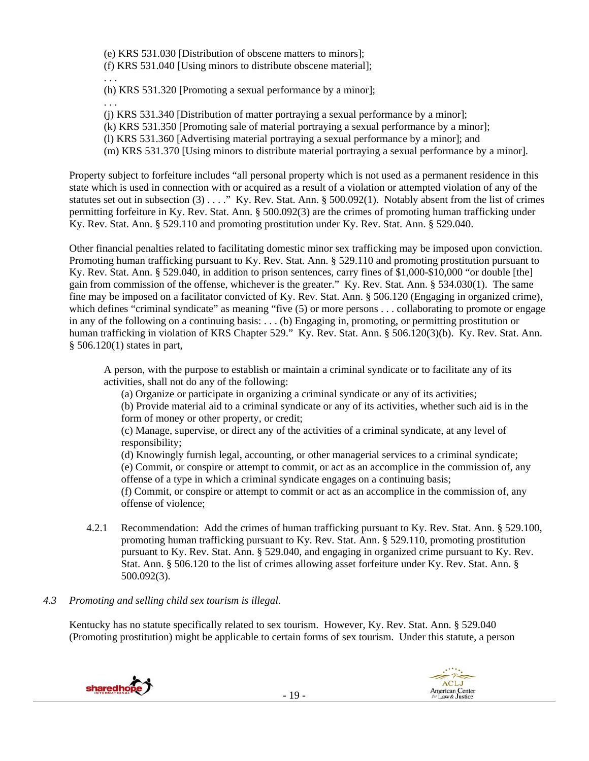(e) KRS 531.030 [Distribution of obscene matters to minors]; (f) KRS 531.040 [Using minors to distribute obscene material];

. . .

(h) KRS 531.320 [Promoting a sexual performance by a minor];

(j) KRS 531.340 [Distribution of matter portraying a sexual performance by a minor];

(k) KRS 531.350 [Promoting sale of material portraying a sexual performance by a minor];

(l) KRS 531.360 [Advertising material portraying a sexual performance by a minor]; and

(m) KRS 531.370 [Using minors to distribute material portraying a sexual performance by a minor].

Property subject to forfeiture includes "all personal property which is not used as a permanent residence in this state which is used in connection with or acquired as a result of a violation or attempted violation of any of the statutes set out in subsection (3) . . . . " Ky. Rev. Stat. Ann. § 500.092(1). Notably absent from the list of crimes permitting forfeiture in Ky. Rev. Stat. Ann. § 500.092(3) are the crimes of promoting human trafficking under Ky. Rev. Stat. Ann. § 529.110 and promoting prostitution under Ky. Rev. Stat. Ann. § 529.040.

Other financial penalties related to facilitating domestic minor sex trafficking may be imposed upon conviction. Promoting human trafficking pursuant to Ky. Rev. Stat. Ann. § 529.110 and promoting prostitution pursuant to Ky. Rev. Stat. Ann. § 529.040, in addition to prison sentences, carry fines of \$1,000-\$10,000 "or double [the] gain from commission of the offense, whichever is the greater." Ky. Rev. Stat. Ann. § 534.030(1). The same fine may be imposed on a facilitator convicted of Ky. Rev. Stat. Ann. § 506.120 (Engaging in organized crime), which defines "criminal syndicate" as meaning "five (5) or more persons . . . collaborating to promote or engage in any of the following on a continuing basis: . . . (b) Engaging in, promoting, or permitting prostitution or human trafficking in violation of KRS Chapter 529." Ky. Rev. Stat. Ann. § 506.120(3)(b). Ky. Rev. Stat. Ann. § 506.120(1) states in part,

A person, with the purpose to establish or maintain a criminal syndicate or to facilitate any of its activities, shall not do any of the following:

(a) Organize or participate in organizing a criminal syndicate or any of its activities;

(b) Provide material aid to a criminal syndicate or any of its activities, whether such aid is in the form of money or other property, or credit;

(c) Manage, supervise, or direct any of the activities of a criminal syndicate, at any level of responsibility;

(d) Knowingly furnish legal, accounting, or other managerial services to a criminal syndicate;

(e) Commit, or conspire or attempt to commit, or act as an accomplice in the commission of, any offense of a type in which a criminal syndicate engages on a continuing basis;

(f) Commit, or conspire or attempt to commit or act as an accomplice in the commission of, any offense of violence;

4.2.1 Recommendation: Add the crimes of human trafficking pursuant to Ky. Rev. Stat. Ann. § 529.100, promoting human trafficking pursuant to Ky. Rev. Stat. Ann. § 529.110, promoting prostitution pursuant to Ky. Rev. Stat. Ann. § 529.040, and engaging in organized crime pursuant to Ky. Rev. Stat. Ann. § 506.120 to the list of crimes allowing asset forfeiture under Ky. Rev. Stat. Ann. § 500.092(3).

# *4.3 Promoting and selling child sex tourism is illegal*.

Kentucky has no statute specifically related to sex tourism. However, Ky. Rev. Stat. Ann. § 529.040 (Promoting prostitution) might be applicable to certain forms of sex tourism. Under this statute, a person



. . .

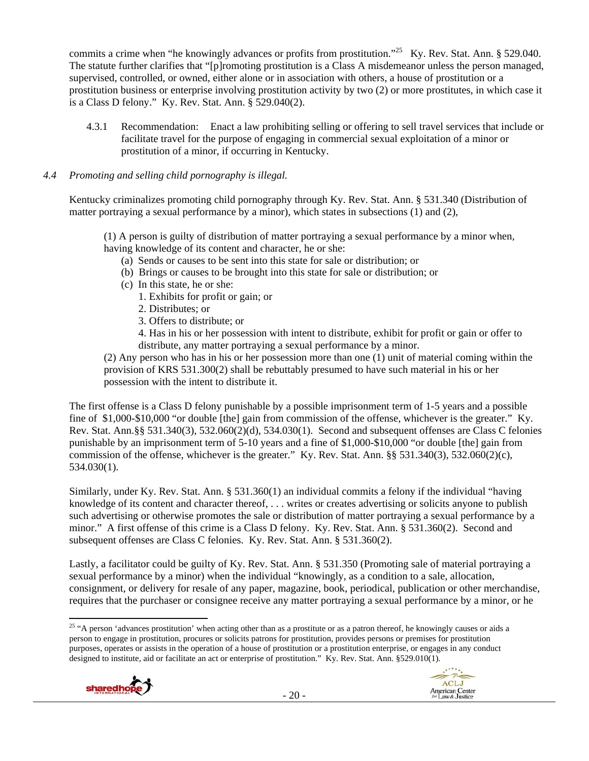commits a crime when "he knowingly advances or profits from prostitution."<sup>25</sup> Ky. Rev. Stat. Ann. § 529.040. The statute further clarifies that "[p]romoting prostitution is a Class A misdemeanor unless the person managed, supervised, controlled, or owned, either alone or in association with others, a house of prostitution or a prostitution business or enterprise involving prostitution activity by two (2) or more prostitutes, in which case it is a Class D felony." Ky. Rev. Stat. Ann. § 529.040(2).

4.3.1 Recommendation: Enact a law prohibiting selling or offering to sell travel services that include or facilitate travel for the purpose of engaging in commercial sexual exploitation of a minor or prostitution of a minor, if occurring in Kentucky.

## *4.4 Promoting and selling child pornography is illegal.*

Kentucky criminalizes promoting child pornography through Ky. Rev. Stat. Ann. § 531.340 (Distribution of matter portraying a sexual performance by a minor), which states in subsections (1) and (2),

(1) A person is guilty of distribution of matter portraying a sexual performance by a minor when, having knowledge of its content and character, he or she:

- (a) Sends or causes to be sent into this state for sale or distribution; or
- (b) Brings or causes to be brought into this state for sale or distribution; or
- (c) In this state, he or she:
	- 1. Exhibits for profit or gain; or
	- 2. Distributes; or
	- 3. Offers to distribute; or

4. Has in his or her possession with intent to distribute, exhibit for profit or gain or offer to distribute, any matter portraying a sexual performance by a minor.

(2) Any person who has in his or her possession more than one (1) unit of material coming within the provision of KRS 531.300(2) shall be rebuttably presumed to have such material in his or her possession with the intent to distribute it.

The first offense is a Class D felony punishable by a possible imprisonment term of 1-5 years and a possible fine of \$1,000-\$10,000 "or double [the] gain from commission of the offense, whichever is the greater." Ky. Rev. Stat. Ann.§§ 531.340(3), 532.060(2)(d), 534.030(1). Second and subsequent offenses are Class C felonies punishable by an imprisonment term of 5-10 years and a fine of \$1,000-\$10,000 "or double [the] gain from commission of the offense, whichever is the greater." Ky. Rev. Stat. Ann. §§ 531.340(3), 532.060(2)(c), 534.030(1).

Similarly, under Ky. Rev. Stat. Ann. § 531.360(1) an individual commits a felony if the individual "having knowledge of its content and character thereof, . . . writes or creates advertising or solicits anyone to publish such advertising or otherwise promotes the sale or distribution of matter portraying a sexual performance by a minor." A first offense of this crime is a Class D felony. Ky. Rev. Stat. Ann. § 531.360(2). Second and subsequent offenses are Class C felonies. Ky. Rev. Stat. Ann. § 531.360(2).

Lastly, a facilitator could be guilty of Ky. Rev. Stat. Ann. § 531.350 (Promoting sale of material portraying a sexual performance by a minor) when the individual "knowingly, as a condition to a sale, allocation, consignment, or delivery for resale of any paper, magazine, book, periodical, publication or other merchandise, requires that the purchaser or consignee receive any matter portraying a sexual performance by a minor, or he

 <sup>25 "A</sup> person 'advances prostitution' when acting other than as a prostitute or as a patron thereof, he knowingly causes or aids a person to engage in prostitution, procures or solicits patrons for prostitution, provides persons or premises for prostitution purposes, operates or assists in the operation of a house of prostitution or a prostitution enterprise, or engages in any conduct designed to institute, aid or facilitate an act or enterprise of prostitution." Ky. Rev. Stat. Ann. §529.010(1).



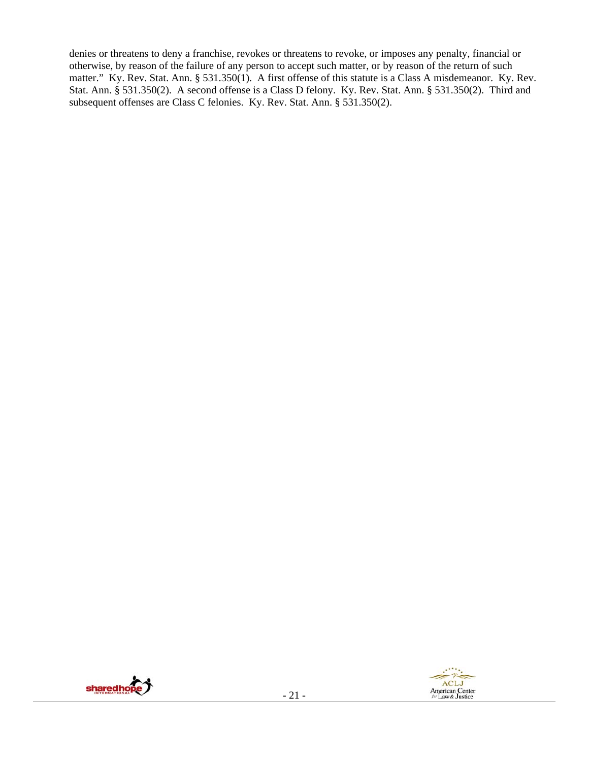denies or threatens to deny a franchise, revokes or threatens to revoke, or imposes any penalty, financial or otherwise, by reason of the failure of any person to accept such matter, or by reason of the return of such matter." Ky. Rev. Stat. Ann. § 531.350(1). A first offense of this statute is a Class A misdemeanor. Ky. Rev. Stat. Ann. § 531.350(2). A second offense is a Class D felony. Ky. Rev. Stat. Ann. § 531.350(2). Third and subsequent offenses are Class C felonies. Ky. Rev. Stat. Ann. § 531.350(2).

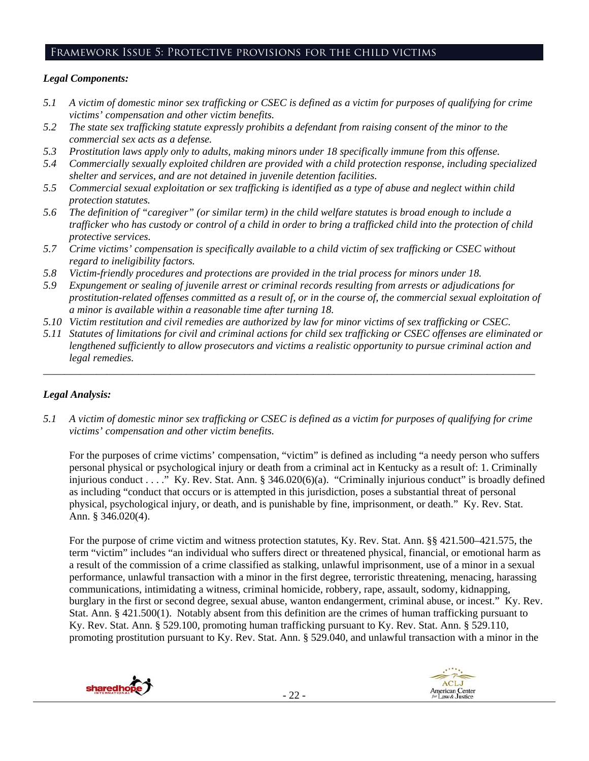# Framework Issue 5: Protective provisions for the child victims

## *Legal Components:*

- *5.1 A victim of domestic minor sex trafficking or CSEC is defined as a victim for purposes of qualifying for crime victims' compensation and other victim benefits.*
- *5.2 The state sex trafficking statute expressly prohibits a defendant from raising consent of the minor to the commercial sex acts as a defense.*
- *5.3 Prostitution laws apply only to adults, making minors under 18 specifically immune from this offense.*
- *5.4 Commercially sexually exploited children are provided with a child protection response, including specialized shelter and services, and are not detained in juvenile detention facilities.*
- *5.5 Commercial sexual exploitation or sex trafficking is identified as a type of abuse and neglect within child protection statutes.*
- *5.6 The definition of "caregiver" (or similar term) in the child welfare statutes is broad enough to include a trafficker who has custody or control of a child in order to bring a trafficked child into the protection of child protective services.*
- *5.7 Crime victims' compensation is specifically available to a child victim of sex trafficking or CSEC without regard to ineligibility factors.*
- *5.8 Victim-friendly procedures and protections are provided in the trial process for minors under 18.*
- *5.9 Expungement or sealing of juvenile arrest or criminal records resulting from arrests or adjudications for prostitution-related offenses committed as a result of, or in the course of, the commercial sexual exploitation of a minor is available within a reasonable time after turning 18.*
- *5.10 Victim restitution and civil remedies are authorized by law for minor victims of sex trafficking or CSEC.*
- *5.11 Statutes of limitations for civil and criminal actions for child sex trafficking or CSEC offenses are eliminated or lengthened sufficiently to allow prosecutors and victims a realistic opportunity to pursue criminal action and legal remedies.*

*\_\_\_\_\_\_\_\_\_\_\_\_\_\_\_\_\_\_\_\_\_\_\_\_\_\_\_\_\_\_\_\_\_\_\_\_\_\_\_\_\_\_\_\_\_\_\_\_\_\_\_\_\_\_\_\_\_\_\_\_\_\_\_\_\_\_\_\_\_\_\_\_\_\_\_\_\_\_\_\_\_\_\_\_\_\_\_\_\_\_\_\_\_* 

## *Legal Analysis:*

*5.1 A victim of domestic minor sex trafficking or CSEC is defined as a victim for purposes of qualifying for crime victims' compensation and other victim benefits.* 

For the purposes of crime victims' compensation, "victim" is defined as including "a needy person who suffers personal physical or psychological injury or death from a criminal act in Kentucky as a result of: 1. Criminally injurious conduct . . . ." Ky. Rev. Stat. Ann. § 346.020(6)(a). "Criminally injurious conduct" is broadly defined as including "conduct that occurs or is attempted in this jurisdiction, poses a substantial threat of personal physical, psychological injury, or death, and is punishable by fine, imprisonment, or death." Ky. Rev. Stat. Ann. § 346.020(4).

For the purpose of crime victim and witness protection statutes, Ky. Rev. Stat. Ann. §§ 421.500–421.575, the term "victim" includes "an individual who suffers direct or threatened physical, financial, or emotional harm as a result of the commission of a crime classified as stalking, unlawful imprisonment, use of a minor in a sexual performance, unlawful transaction with a minor in the first degree, terroristic threatening, menacing, harassing communications, intimidating a witness, criminal homicide, robbery, rape, assault, sodomy, kidnapping, burglary in the first or second degree, sexual abuse, wanton endangerment, criminal abuse, or incest." Ky. Rev. Stat. Ann. § 421.500(1). Notably absent from this definition are the crimes of human trafficking pursuant to Ky. Rev. Stat. Ann. § 529.100, promoting human trafficking pursuant to Ky. Rev. Stat. Ann. § 529.110, promoting prostitution pursuant to Ky. Rev. Stat. Ann. § 529.040, and unlawful transaction with a minor in the



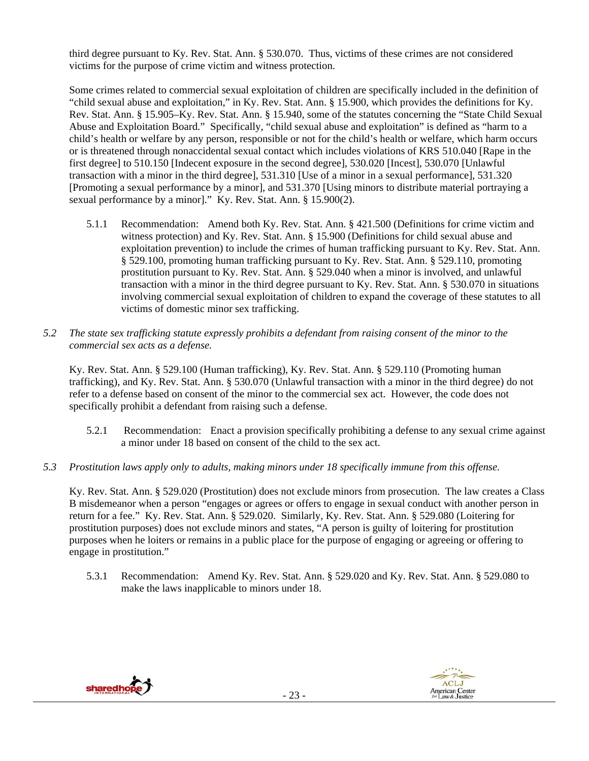third degree pursuant to Ky. Rev. Stat. Ann. § 530.070. Thus, victims of these crimes are not considered victims for the purpose of crime victim and witness protection.

Some crimes related to commercial sexual exploitation of children are specifically included in the definition of "child sexual abuse and exploitation," in Ky. Rev. Stat. Ann. § 15.900, which provides the definitions for Ky. Rev. Stat. Ann. § 15.905–Ky. Rev. Stat. Ann. § 15.940, some of the statutes concerning the "State Child Sexual Abuse and Exploitation Board." Specifically, "child sexual abuse and exploitation" is defined as "harm to a child's health or welfare by any person, responsible or not for the child's health or welfare, which harm occurs or is threatened through nonaccidental sexual contact which includes violations of KRS 510.040 [Rape in the first degree] to 510.150 [Indecent exposure in the second degree], 530.020 [Incest], 530.070 [Unlawful transaction with a minor in the third degree], 531.310 [Use of a minor in a sexual performance], 531.320 [Promoting a sexual performance by a minor], and 531.370 [Using minors to distribute material portraying a sexual performance by a minor]." Ky. Rev. Stat. Ann. § 15.900(2).

- 5.1.1 Recommendation: Amend both Ky. Rev. Stat. Ann. § 421.500 (Definitions for crime victim and witness protection) and Ky. Rev. Stat. Ann. § 15.900 (Definitions for child sexual abuse and exploitation prevention) to include the crimes of human trafficking pursuant to Ky. Rev. Stat. Ann. § 529.100, promoting human trafficking pursuant to Ky. Rev. Stat. Ann. § 529.110, promoting prostitution pursuant to Ky. Rev. Stat. Ann. § 529.040 when a minor is involved, and unlawful transaction with a minor in the third degree pursuant to Ky. Rev. Stat. Ann. § 530.070 in situations involving commercial sexual exploitation of children to expand the coverage of these statutes to all victims of domestic minor sex trafficking.
- *5.2 The state sex trafficking statute expressly prohibits a defendant from raising consent of the minor to the commercial sex acts as a defense.*

Ky. Rev. Stat. Ann. § 529.100 (Human trafficking), Ky. Rev. Stat. Ann. § 529.110 (Promoting human trafficking), and Ky. Rev. Stat. Ann. § 530.070 (Unlawful transaction with a minor in the third degree) do not refer to a defense based on consent of the minor to the commercial sex act. However, the code does not specifically prohibit a defendant from raising such a defense.

- 5.2.1 Recommendation: Enact a provision specifically prohibiting a defense to any sexual crime against a minor under 18 based on consent of the child to the sex act.
- *5.3 Prostitution laws apply only to adults, making minors under 18 specifically immune from this offense.*

Ky. Rev. Stat. Ann. § 529.020 (Prostitution) does not exclude minors from prosecution. The law creates a Class B misdemeanor when a person "engages or agrees or offers to engage in sexual conduct with another person in return for a fee." Ky. Rev. Stat. Ann. § 529.020. Similarly, Ky. Rev. Stat. Ann. § 529.080 (Loitering for prostitution purposes) does not exclude minors and states, "A person is guilty of loitering for prostitution purposes when he loiters or remains in a public place for the purpose of engaging or agreeing or offering to engage in prostitution."

5.3.1 Recommendation: Amend Ky. Rev. Stat. Ann. § 529.020 and Ky. Rev. Stat. Ann. § 529.080 to make the laws inapplicable to minors under 18.

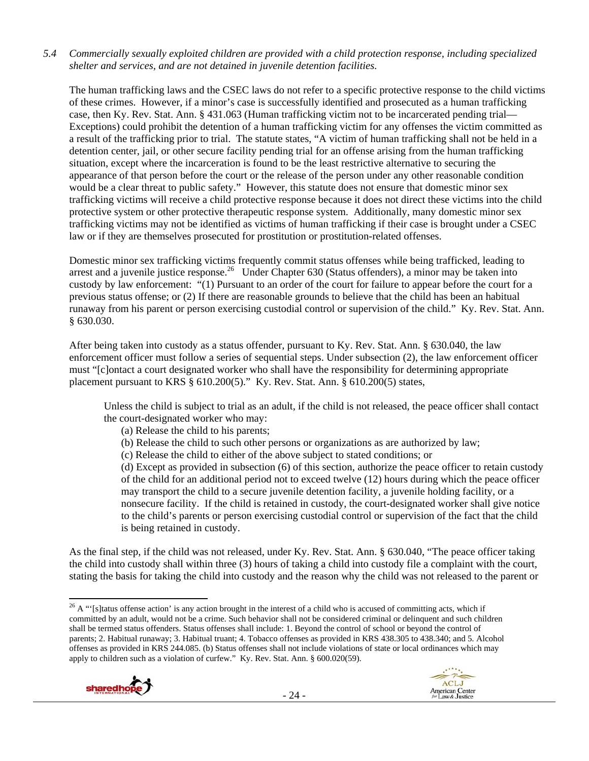#### *5.4 Commercially sexually exploited children are provided with a child protection response, including specialized shelter and services, and are not detained in juvenile detention facilities.*

The human trafficking laws and the CSEC laws do not refer to a specific protective response to the child victims of these crimes. However, if a minor's case is successfully identified and prosecuted as a human trafficking case, then Ky. Rev. Stat. Ann. § 431.063 (Human trafficking victim not to be incarcerated pending trial— Exceptions) could prohibit the detention of a human trafficking victim for any offenses the victim committed as a result of the trafficking prior to trial. The statute states, "A victim of human trafficking shall not be held in a detention center, jail, or other secure facility pending trial for an offense arising from the human trafficking situation, except where the incarceration is found to be the least restrictive alternative to securing the appearance of that person before the court or the release of the person under any other reasonable condition would be a clear threat to public safety." However, this statute does not ensure that domestic minor sex trafficking victims will receive a child protective response because it does not direct these victims into the child protective system or other protective therapeutic response system. Additionally, many domestic minor sex trafficking victims may not be identified as victims of human trafficking if their case is brought under a CSEC law or if they are themselves prosecuted for prostitution or prostitution-related offenses.

Domestic minor sex trafficking victims frequently commit status offenses while being trafficked, leading to arrest and a juvenile justice response.<sup>26</sup> Under Chapter 630 (Status offenders), a minor may be taken into custody by law enforcement: "(1) Pursuant to an order of the court for failure to appear before the court for a previous status offense; or (2) If there are reasonable grounds to believe that the child has been an habitual runaway from his parent or person exercising custodial control or supervision of the child." Ky. Rev. Stat. Ann. § 630.030.

After being taken into custody as a status offender, pursuant to Ky. Rev. Stat. Ann. § 630.040, the law enforcement officer must follow a series of sequential steps. Under subsection (2), the law enforcement officer must "[c]ontact a court designated worker who shall have the responsibility for determining appropriate placement pursuant to KRS § 610.200(5)." Ky. Rev. Stat. Ann. § 610.200(5) states,

Unless the child is subject to trial as an adult, if the child is not released, the peace officer shall contact the court-designated worker who may:

- (a) Release the child to his parents;
- (b) Release the child to such other persons or organizations as are authorized by law;
- (c) Release the child to either of the above subject to stated conditions; or

(d) Except as provided in subsection (6) of this section, authorize the peace officer to retain custody of the child for an additional period not to exceed twelve (12) hours during which the peace officer may transport the child to a secure juvenile detention facility, a juvenile holding facility, or a nonsecure facility. If the child is retained in custody, the court-designated worker shall give notice to the child's parents or person exercising custodial control or supervision of the fact that the child is being retained in custody.

As the final step, if the child was not released, under Ky. Rev. Stat. Ann. § 630.040, "The peace officer taking the child into custody shall within three (3) hours of taking a child into custody file a complaint with the court, stating the basis for taking the child into custody and the reason why the child was not released to the parent or

  $26$  A "'[s]tatus offense action' is any action brought in the interest of a child who is accused of committing acts, which if committed by an adult, would not be a crime. Such behavior shall not be considered criminal or delinquent and such children shall be termed status offenders. Status offenses shall include: 1. Beyond the control of school or beyond the control of parents; 2. Habitual runaway; 3. Habitual truant; 4. Tobacco offenses as provided in KRS 438.305 to 438.340; and 5. Alcohol offenses as provided in KRS 244.085. (b) Status offenses shall not include violations of state or local ordinances which may apply to children such as a violation of curfew." Ky. Rev. Stat. Ann. § 600.020(59).



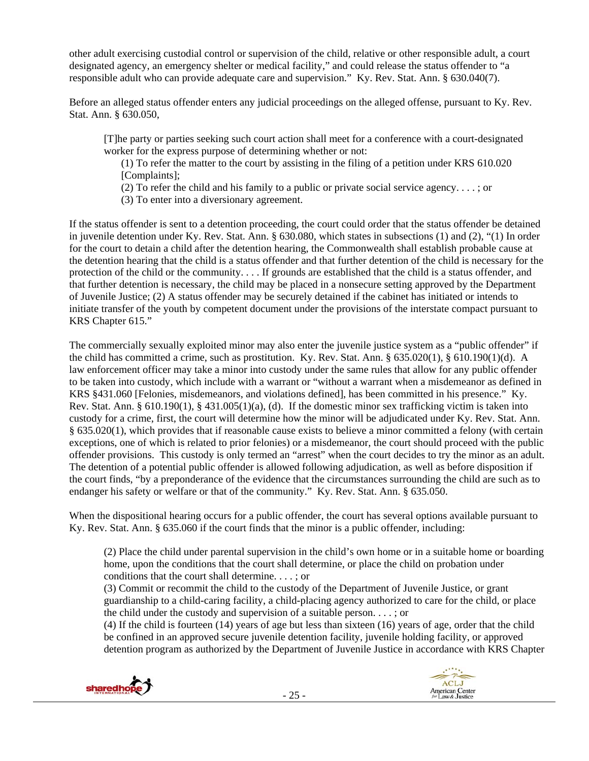other adult exercising custodial control or supervision of the child, relative or other responsible adult, a court designated agency, an emergency shelter or medical facility," and could release the status offender to "a responsible adult who can provide adequate care and supervision." Ky. Rev. Stat. Ann. § 630.040(7).

Before an alleged status offender enters any judicial proceedings on the alleged offense, pursuant to Ky. Rev. Stat. Ann. § 630.050,

[T]he party or parties seeking such court action shall meet for a conference with a court-designated worker for the express purpose of determining whether or not:

(1) To refer the matter to the court by assisting in the filing of a petition under KRS 610.020 [Complaints];

- (2) To refer the child and his family to a public or private social service agency. . . . ; or
- (3) To enter into a diversionary agreement.

If the status offender is sent to a detention proceeding, the court could order that the status offender be detained in juvenile detention under Ky. Rev. Stat. Ann. § 630.080, which states in subsections (1) and (2), "(1) In order for the court to detain a child after the detention hearing, the Commonwealth shall establish probable cause at the detention hearing that the child is a status offender and that further detention of the child is necessary for the protection of the child or the community. . . . If grounds are established that the child is a status offender, and that further detention is necessary, the child may be placed in a nonsecure setting approved by the Department of Juvenile Justice; (2) A status offender may be securely detained if the cabinet has initiated or intends to initiate transfer of the youth by competent document under the provisions of the interstate compact pursuant to KRS Chapter 615."

The commercially sexually exploited minor may also enter the juvenile justice system as a "public offender" if the child has committed a crime, such as prostitution. Ky. Rev. Stat. Ann. § 635.020(1), § 610.190(1)(d). A law enforcement officer may take a minor into custody under the same rules that allow for any public offender to be taken into custody, which include with a warrant or "without a warrant when a misdemeanor as defined in KRS §431.060 [Felonies, misdemeanors, and violations defined], has been committed in his presence." Ky. Rev. Stat. Ann. § 610.190(1), § 431.005(1)(a), (d). If the domestic minor sex trafficking victim is taken into custody for a crime, first, the court will determine how the minor will be adjudicated under Ky. Rev. Stat. Ann. § 635.020(1), which provides that if reasonable cause exists to believe a minor committed a felony (with certain exceptions, one of which is related to prior felonies) or a misdemeanor, the court should proceed with the public offender provisions. This custody is only termed an "arrest" when the court decides to try the minor as an adult. The detention of a potential public offender is allowed following adjudication, as well as before disposition if the court finds, "by a preponderance of the evidence that the circumstances surrounding the child are such as to endanger his safety or welfare or that of the community." Ky. Rev. Stat. Ann. § 635.050.

When the dispositional hearing occurs for a public offender, the court has several options available pursuant to Ky. Rev. Stat. Ann. § 635.060 if the court finds that the minor is a public offender, including:

(2) Place the child under parental supervision in the child's own home or in a suitable home or boarding home, upon the conditions that the court shall determine, or place the child on probation under conditions that the court shall determine. . . . ; or

(3) Commit or recommit the child to the custody of the Department of Juvenile Justice, or grant guardianship to a child-caring facility, a child-placing agency authorized to care for the child, or place the child under the custody and supervision of a suitable person. . . . ; or

(4) If the child is fourteen (14) years of age but less than sixteen (16) years of age, order that the child be confined in an approved secure juvenile detention facility, juvenile holding facility, or approved detention program as authorized by the Department of Juvenile Justice in accordance with KRS Chapter

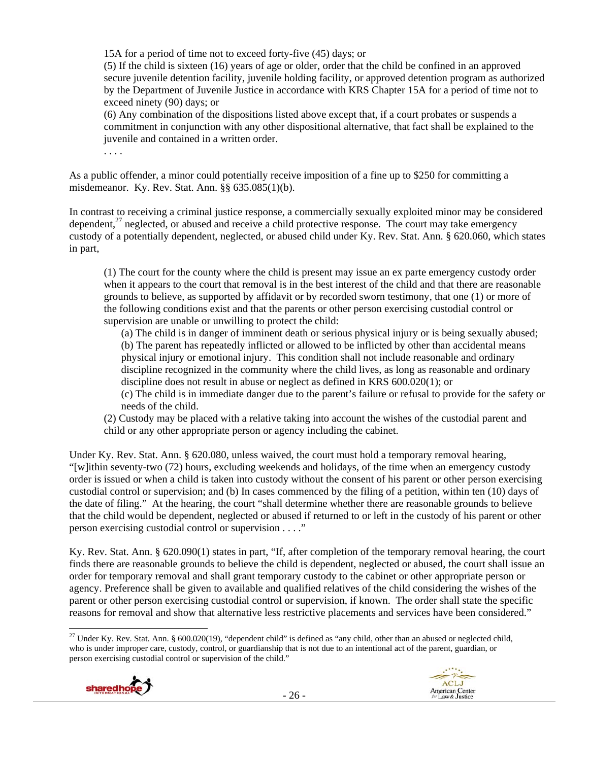15A for a period of time not to exceed forty-five (45) days; or

(5) If the child is sixteen (16) years of age or older, order that the child be confined in an approved secure juvenile detention facility, juvenile holding facility, or approved detention program as authorized by the Department of Juvenile Justice in accordance with KRS Chapter 15A for a period of time not to exceed ninety (90) days; or

(6) Any combination of the dispositions listed above except that, if a court probates or suspends a commitment in conjunction with any other dispositional alternative, that fact shall be explained to the juvenile and contained in a written order.

. . . .

As a public offender, a minor could potentially receive imposition of a fine up to \$250 for committing a misdemeanor. Ky. Rev. Stat. Ann. §§ 635.085(1)(b).

In contrast to receiving a criminal justice response, a commercially sexually exploited minor may be considered dependent, $2<sup>7</sup>$  neglected, or abused and receive a child protective response. The court may take emergency custody of a potentially dependent, neglected, or abused child under Ky. Rev. Stat. Ann. § 620.060, which states in part,

(1) The court for the county where the child is present may issue an ex parte emergency custody order when it appears to the court that removal is in the best interest of the child and that there are reasonable grounds to believe, as supported by affidavit or by recorded sworn testimony, that one (1) or more of the following conditions exist and that the parents or other person exercising custodial control or supervision are unable or unwilling to protect the child:

(a) The child is in danger of imminent death or serious physical injury or is being sexually abused; (b) The parent has repeatedly inflicted or allowed to be inflicted by other than accidental means physical injury or emotional injury. This condition shall not include reasonable and ordinary discipline recognized in the community where the child lives, as long as reasonable and ordinary discipline does not result in abuse or neglect as defined in KRS 600.020(1); or

(c) The child is in immediate danger due to the parent's failure or refusal to provide for the safety or needs of the child.

(2) Custody may be placed with a relative taking into account the wishes of the custodial parent and child or any other appropriate person or agency including the cabinet.

Under Ky. Rev. Stat. Ann. § 620.080, unless waived, the court must hold a temporary removal hearing, "[w]ithin seventy-two (72) hours, excluding weekends and holidays, of the time when an emergency custody order is issued or when a child is taken into custody without the consent of his parent or other person exercising custodial control or supervision; and (b) In cases commenced by the filing of a petition, within ten (10) days of the date of filing." At the hearing, the court "shall determine whether there are reasonable grounds to believe that the child would be dependent, neglected or abused if returned to or left in the custody of his parent or other person exercising custodial control or supervision . . . ."

Ky. Rev. Stat. Ann. § 620.090(1) states in part, "If, after completion of the temporary removal hearing, the court finds there are reasonable grounds to believe the child is dependent, neglected or abused, the court shall issue an order for temporary removal and shall grant temporary custody to the cabinet or other appropriate person or agency. Preference shall be given to available and qualified relatives of the child considering the wishes of the parent or other person exercising custodial control or supervision, if known. The order shall state the specific reasons for removal and show that alternative less restrictive placements and services have been considered."

 <sup>27</sup> Under Ky. Rev. Stat. Ann. § 600.020(19), "dependent child" is defined as "any child, other than an abused or neglected child, who is under improper care, custody, control, or guardianship that is not due to an intentional act of the parent, guardian, or person exercising custodial control or supervision of the child."

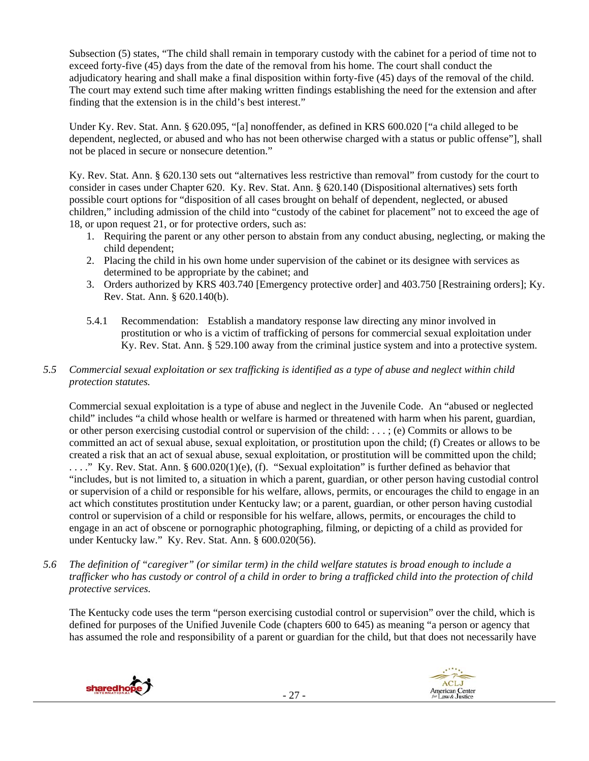Subsection (5) states, "The child shall remain in temporary custody with the cabinet for a period of time not to exceed forty-five (45) days from the date of the removal from his home. The court shall conduct the adjudicatory hearing and shall make a final disposition within forty-five (45) days of the removal of the child. The court may extend such time after making written findings establishing the need for the extension and after finding that the extension is in the child's best interest."

Under Ky. Rev. Stat. Ann. § 620.095, "[a] nonoffender, as defined in KRS 600.020 ["a child alleged to be dependent, neglected, or abused and who has not been otherwise charged with a status or public offense"], shall not be placed in secure or nonsecure detention."

Ky. Rev. Stat. Ann. § 620.130 sets out "alternatives less restrictive than removal" from custody for the court to consider in cases under Chapter 620. Ky. Rev. Stat. Ann. § 620.140 (Dispositional alternatives) sets forth possible court options for "disposition of all cases brought on behalf of dependent, neglected, or abused children," including admission of the child into "custody of the cabinet for placement" not to exceed the age of 18, or upon request 21, or for protective orders, such as:

- 1. Requiring the parent or any other person to abstain from any conduct abusing, neglecting, or making the child dependent;
- 2. Placing the child in his own home under supervision of the cabinet or its designee with services as determined to be appropriate by the cabinet; and
- 3. Orders authorized by KRS 403.740 [Emergency protective order] and 403.750 [Restraining orders]; Ky. Rev. Stat. Ann. § 620.140(b).
- 5.4.1 Recommendation: Establish a mandatory response law directing any minor involved in prostitution or who is a victim of trafficking of persons for commercial sexual exploitation under Ky. Rev. Stat. Ann. § 529.100 away from the criminal justice system and into a protective system.

# *5.5 Commercial sexual exploitation or sex trafficking is identified as a type of abuse and neglect within child protection statutes.*

Commercial sexual exploitation is a type of abuse and neglect in the Juvenile Code. An "abused or neglected child" includes "a child whose health or welfare is harmed or threatened with harm when his parent, guardian, or other person exercising custodial control or supervision of the child: . . . ; (e) Commits or allows to be committed an act of sexual abuse, sexual exploitation, or prostitution upon the child; (f) Creates or allows to be created a risk that an act of sexual abuse, sexual exploitation, or prostitution will be committed upon the child; . . . ." Ky. Rev. Stat. Ann. § 600.020(1)(e), (f). "Sexual exploitation" is further defined as behavior that "includes, but is not limited to, a situation in which a parent, guardian, or other person having custodial control or supervision of a child or responsible for his welfare, allows, permits, or encourages the child to engage in an act which constitutes prostitution under Kentucky law; or a parent, guardian, or other person having custodial control or supervision of a child or responsible for his welfare, allows, permits, or encourages the child to engage in an act of obscene or pornographic photographing, filming, or depicting of a child as provided for under Kentucky law." Ky. Rev. Stat. Ann. § 600.020(56).

*5.6 The definition of "caregiver" (or similar term) in the child welfare statutes is broad enough to include a trafficker who has custody or control of a child in order to bring a trafficked child into the protection of child protective services.* 

The Kentucky code uses the term "person exercising custodial control or supervision" over the child, which is defined for purposes of the Unified Juvenile Code (chapters 600 to 645) as meaning "a person or agency that has assumed the role and responsibility of a parent or guardian for the child, but that does not necessarily have



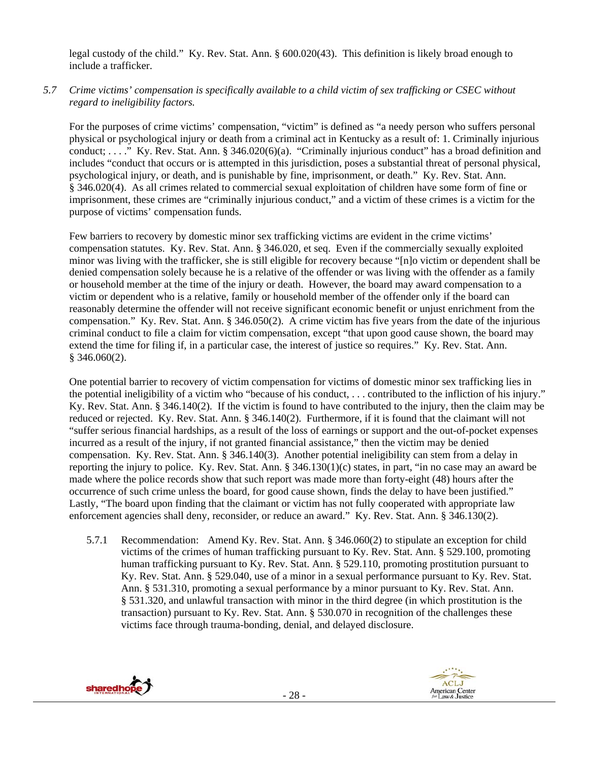legal custody of the child." Ky. Rev. Stat. Ann. § 600.020(43). This definition is likely broad enough to include a trafficker.

# *5.7 Crime victims' compensation is specifically available to a child victim of sex trafficking or CSEC without regard to ineligibility factors.*

For the purposes of crime victims' compensation, "victim" is defined as "a needy person who suffers personal physical or psychological injury or death from a criminal act in Kentucky as a result of: 1. Criminally injurious conduct; . . . ." Ky. Rev. Stat. Ann. § 346.020(6)(a). "Criminally injurious conduct" has a broad definition and includes "conduct that occurs or is attempted in this jurisdiction, poses a substantial threat of personal physical, psychological injury, or death, and is punishable by fine, imprisonment, or death." Ky. Rev. Stat. Ann. § 346.020(4). As all crimes related to commercial sexual exploitation of children have some form of fine or imprisonment, these crimes are "criminally injurious conduct," and a victim of these crimes is a victim for the purpose of victims' compensation funds.

Few barriers to recovery by domestic minor sex trafficking victims are evident in the crime victims' compensation statutes. Ky. Rev. Stat. Ann. § 346.020, et seq. Even if the commercially sexually exploited minor was living with the trafficker, she is still eligible for recovery because "[n]o victim or dependent shall be denied compensation solely because he is a relative of the offender or was living with the offender as a family or household member at the time of the injury or death. However, the board may award compensation to a victim or dependent who is a relative, family or household member of the offender only if the board can reasonably determine the offender will not receive significant economic benefit or unjust enrichment from the compensation." Ky. Rev. Stat. Ann. § 346.050(2). A crime victim has five years from the date of the injurious criminal conduct to file a claim for victim compensation, except "that upon good cause shown, the board may extend the time for filing if, in a particular case, the interest of justice so requires." Ky. Rev. Stat. Ann.  $§$  346.060(2).

One potential barrier to recovery of victim compensation for victims of domestic minor sex trafficking lies in the potential ineligibility of a victim who "because of his conduct, . . . contributed to the infliction of his injury." Ky. Rev. Stat. Ann. § 346.140(2). If the victim is found to have contributed to the injury, then the claim may be reduced or rejected. Ky. Rev. Stat. Ann. § 346.140(2). Furthermore, if it is found that the claimant will not "suffer serious financial hardships, as a result of the loss of earnings or support and the out-of-pocket expenses incurred as a result of the injury, if not granted financial assistance," then the victim may be denied compensation. Ky. Rev. Stat. Ann. § 346.140(3). Another potential ineligibility can stem from a delay in reporting the injury to police. Ky. Rev. Stat. Ann. § 346.130(1)(c) states, in part, "in no case may an award be made where the police records show that such report was made more than forty-eight (48) hours after the occurrence of such crime unless the board, for good cause shown, finds the delay to have been justified." Lastly, "The board upon finding that the claimant or victim has not fully cooperated with appropriate law enforcement agencies shall deny, reconsider, or reduce an award." Ky. Rev. Stat. Ann. § 346.130(2).

5.7.1 Recommendation: Amend Ky. Rev. Stat. Ann. § 346.060(2) to stipulate an exception for child victims of the crimes of human trafficking pursuant to Ky. Rev. Stat. Ann. § 529.100, promoting human trafficking pursuant to Ky. Rev. Stat. Ann. § 529.110, promoting prostitution pursuant to Ky. Rev. Stat. Ann. § 529.040, use of a minor in a sexual performance pursuant to Ky. Rev. Stat. Ann. § 531.310, promoting a sexual performance by a minor pursuant to Ky. Rev. Stat. Ann. § 531.320, and unlawful transaction with minor in the third degree (in which prostitution is the transaction) pursuant to Ky. Rev. Stat. Ann. § 530.070 in recognition of the challenges these victims face through trauma-bonding, denial, and delayed disclosure.

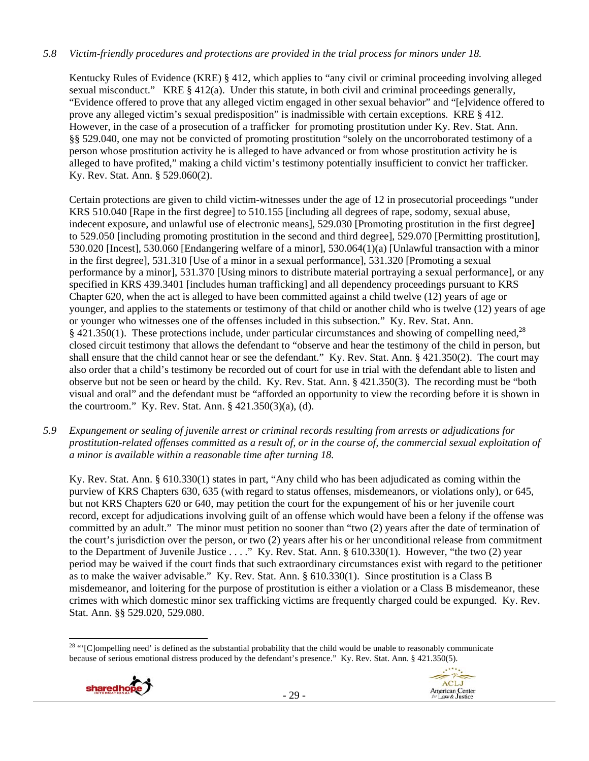# *5.8 Victim-friendly procedures and protections are provided in the trial process for minors under 18.*

Kentucky Rules of Evidence (KRE) § 412, which applies to "any civil or criminal proceeding involving alleged sexual misconduct." KRE § 412(a). Under this statute, in both civil and criminal proceedings generally, "Evidence offered to prove that any alleged victim engaged in other sexual behavior" and "[e]vidence offered to prove any alleged victim's sexual predisposition" is inadmissible with certain exceptions. KRE § 412. However, in the case of a prosecution of a trafficker for promoting prostitution under Ky. Rev. Stat. Ann. §§ 529.040, one may not be convicted of promoting prostitution "solely on the uncorroborated testimony of a person whose prostitution activity he is alleged to have advanced or from whose prostitution activity he is alleged to have profited," making a child victim's testimony potentially insufficient to convict her trafficker. Ky. Rev. Stat. Ann. § 529.060(2).

Certain protections are given to child victim-witnesses under the age of 12 in prosecutorial proceedings "under KRS 510.040 [Rape in the first degree] to 510.155 [including all degrees of rape, sodomy, sexual abuse, indecent exposure, and unlawful use of electronic means], 529.030 [Promoting prostitution in the first degree**]**  to 529.050 [including promoting prostitution in the second and third degree], 529.070 [Permitting prostitution], 530.020 [Incest], 530.060 [Endangering welfare of a minor], 530.064(1)(a) [Unlawful transaction with a minor in the first degree], 531.310 [Use of a minor in a sexual performance], 531.320 [Promoting a sexual performance by a minor], 531.370 [Using minors to distribute material portraying a sexual performance], or any specified in KRS 439.3401 [includes human trafficking] and all dependency proceedings pursuant to KRS Chapter 620, when the act is alleged to have been committed against a child twelve (12) years of age or younger, and applies to the statements or testimony of that child or another child who is twelve (12) years of age or younger who witnesses one of the offenses included in this subsection." Ky. Rev. Stat. Ann. § 421.350(1). These protections include, under particular circumstances and showing of compelling need,  $^{28}$ closed circuit testimony that allows the defendant to "observe and hear the testimony of the child in person, but shall ensure that the child cannot hear or see the defendant." Ky. Rev. Stat. Ann. § 421.350(2). The court may also order that a child's testimony be recorded out of court for use in trial with the defendant able to listen and observe but not be seen or heard by the child. Ky. Rev. Stat. Ann. § 421.350(3). The recording must be "both visual and oral" and the defendant must be "afforded an opportunity to view the recording before it is shown in the courtroom." Ky. Rev. Stat. Ann. § 421.350(3)(a), (d).

*5.9 Expungement or sealing of juvenile arrest or criminal records resulting from arrests or adjudications for prostitution-related offenses committed as a result of, or in the course of, the commercial sexual exploitation of a minor is available within a reasonable time after turning 18.* 

Ky. Rev. Stat. Ann. § 610.330(1) states in part, "Any child who has been adjudicated as coming within the purview of KRS Chapters 630, 635 (with regard to status offenses, misdemeanors, or violations only), or 645, but not KRS Chapters 620 or 640, may petition the court for the expungement of his or her juvenile court record, except for adjudications involving guilt of an offense which would have been a felony if the offense was committed by an adult." The minor must petition no sooner than "two (2) years after the date of termination of the court's jurisdiction over the person, or two (2) years after his or her unconditional release from commitment to the Department of Juvenile Justice . . . ." Ky. Rev. Stat. Ann. § 610.330(1). However, "the two (2) year period may be waived if the court finds that such extraordinary circumstances exist with regard to the petitioner as to make the waiver advisable." Ky. Rev. Stat. Ann. § 610.330(1). Since prostitution is a Class B misdemeanor, and loitering for the purpose of prostitution is either a violation or a Class B misdemeanor, these crimes with which domestic minor sex trafficking victims are frequently charged could be expunged. Ky. Rev. Stat. Ann. §§ 529.020, 529.080.

  $28$  "' $[{\rm C}]$  [C]ompelling need' is defined as the substantial probability that the child would be unable to reasonably communicate because of serious emotional distress produced by the defendant's presence." Ky. Rev. Stat. Ann. § 421.350(5).



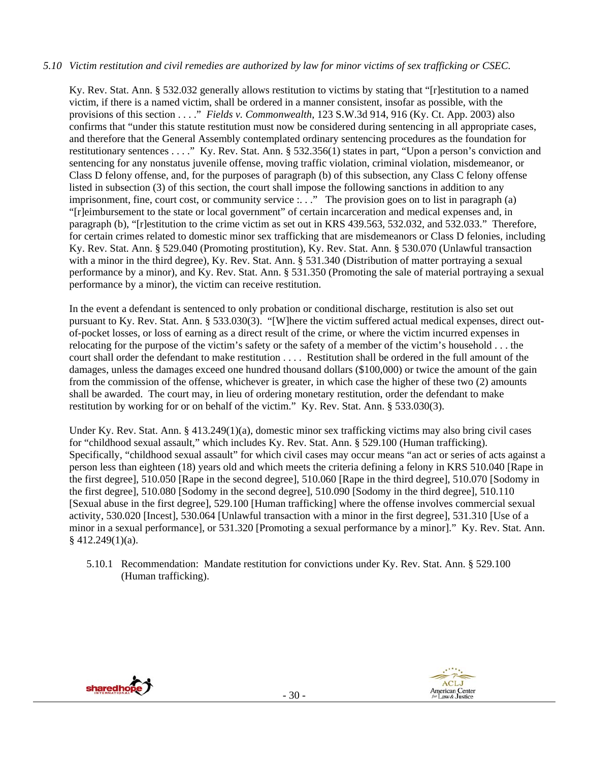#### *5.10 Victim restitution and civil remedies are authorized by law for minor victims of sex trafficking or CSEC.*

Ky. Rev. Stat. Ann. § 532.032 generally allows restitution to victims by stating that "[r]estitution to a named victim, if there is a named victim, shall be ordered in a manner consistent, insofar as possible, with the provisions of this section . . . ." *Fields v. Commonwealth*, 123 S.W.3d 914, 916 (Ky. Ct. App. 2003) also confirms that "under this statute restitution must now be considered during sentencing in all appropriate cases, and therefore that the General Assembly contemplated ordinary sentencing procedures as the foundation for restitutionary sentences . . . ." Ky. Rev. Stat. Ann. § 532.356(1) states in part, "Upon a person's conviction and sentencing for any nonstatus juvenile offense, moving traffic violation, criminal violation, misdemeanor, or Class D felony offense, and, for the purposes of paragraph (b) of this subsection, any Class C felony offense listed in subsection (3) of this section, the court shall impose the following sanctions in addition to any imprisonment, fine, court cost, or community service  $\ldots$ ." The provision goes on to list in paragraph (a) "[r]eimbursement to the state or local government" of certain incarceration and medical expenses and, in paragraph (b), "[r]estitution to the crime victim as set out in KRS 439.563, 532.032, and 532.033." Therefore, for certain crimes related to domestic minor sex trafficking that are misdemeanors or Class D felonies, including Ky. Rev. Stat. Ann. § 529.040 (Promoting prostitution), Ky. Rev. Stat. Ann. § 530.070 (Unlawful transaction with a minor in the third degree), Ky. Rev. Stat. Ann. § 531.340 (Distribution of matter portraying a sexual performance by a minor), and Ky. Rev. Stat. Ann. § 531.350 (Promoting the sale of material portraying a sexual performance by a minor), the victim can receive restitution.

In the event a defendant is sentenced to only probation or conditional discharge, restitution is also set out pursuant to Ky. Rev. Stat. Ann. § 533.030(3). "[W]here the victim suffered actual medical expenses, direct outof-pocket losses, or loss of earning as a direct result of the crime, or where the victim incurred expenses in relocating for the purpose of the victim's safety or the safety of a member of the victim's household . . . the court shall order the defendant to make restitution . . . . Restitution shall be ordered in the full amount of the damages, unless the damages exceed one hundred thousand dollars (\$100,000) or twice the amount of the gain from the commission of the offense, whichever is greater, in which case the higher of these two (2) amounts shall be awarded. The court may, in lieu of ordering monetary restitution, order the defendant to make restitution by working for or on behalf of the victim." Ky. Rev. Stat. Ann. § 533.030(3).

Under Ky. Rev. Stat. Ann. § 413.249(1)(a), domestic minor sex trafficking victims may also bring civil cases for "childhood sexual assault," which includes Ky. Rev. Stat. Ann. § 529.100 (Human trafficking). Specifically, "childhood sexual assault" for which civil cases may occur means "an act or series of acts against a person less than eighteen (18) years old and which meets the criteria defining a felony in KRS 510.040 [Rape in the first degree], 510.050 [Rape in the second degree], 510.060 [Rape in the third degree], 510.070 [Sodomy in the first degree], 510.080 [Sodomy in the second degree], 510.090 [Sodomy in the third degree], 510.110 [Sexual abuse in the first degree], 529.100 [Human trafficking] where the offense involves commercial sexual activity, 530.020 [Incest], 530.064 [Unlawful transaction with a minor in the first degree], 531.310 [Use of a minor in a sexual performance], or 531.320 [Promoting a sexual performance by a minor]." Ky. Rev. Stat. Ann.  $§$  412.249(1)(a).

5.10.1 Recommendation: Mandate restitution for convictions under Ky. Rev. Stat. Ann. § 529.100 (Human trafficking).



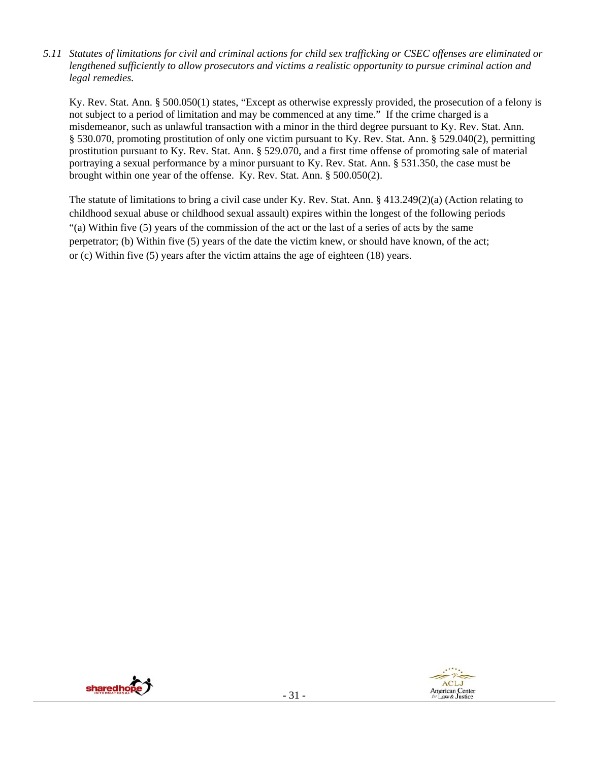*5.11 Statutes of limitations for civil and criminal actions for child sex trafficking or CSEC offenses are eliminated or lengthened sufficiently to allow prosecutors and victims a realistic opportunity to pursue criminal action and legal remedies.* 

Ky. Rev. Stat. Ann. § 500.050(1) states, "Except as otherwise expressly provided, the prosecution of a felony is not subject to a period of limitation and may be commenced at any time." If the crime charged is a misdemeanor, such as unlawful transaction with a minor in the third degree pursuant to Ky. Rev. Stat. Ann. § 530.070, promoting prostitution of only one victim pursuant to Ky. Rev. Stat. Ann. § 529.040(2), permitting prostitution pursuant to Ky. Rev. Stat. Ann. § 529.070, and a first time offense of promoting sale of material portraying a sexual performance by a minor pursuant to Ky. Rev. Stat. Ann. § 531.350, the case must be brought within one year of the offense. Ky. Rev. Stat. Ann. § 500.050(2).

The statute of limitations to bring a civil case under Ky. Rev. Stat. Ann. § 413.249(2)(a) (Action relating to childhood sexual abuse or childhood sexual assault) expires within the longest of the following periods "(a) Within five (5) years of the commission of the act or the last of a series of acts by the same perpetrator; (b) Within five (5) years of the date the victim knew, or should have known, of the act; or (c) Within five (5) years after the victim attains the age of eighteen (18) years.



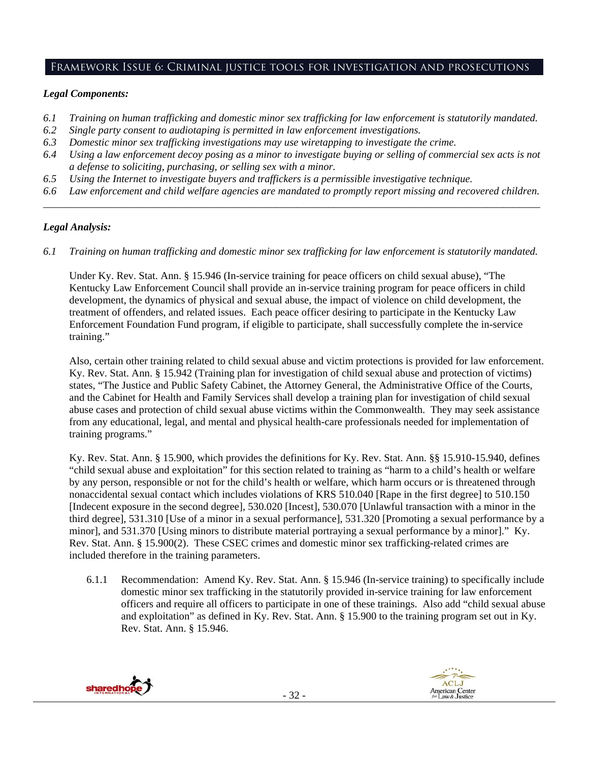# Framework Issue 6: Criminal justice tools for investigation and prosecutions

## *Legal Components:*

- *6.1 Training on human trafficking and domestic minor sex trafficking for law enforcement is statutorily mandated.*
- *6.2 Single party consent to audiotaping is permitted in law enforcement investigations.*
- *6.3 Domestic minor sex trafficking investigations may use wiretapping to investigate the crime.*
- *6.4 Using a law enforcement decoy posing as a minor to investigate buying or selling of commercial sex acts is not a defense to soliciting, purchasing, or selling sex with a minor.*
- *6.5 Using the Internet to investigate buyers and traffickers is a permissible investigative technique.*
- *6.6 Law enforcement and child welfare agencies are mandated to promptly report missing and recovered children. \_\_\_\_\_\_\_\_\_\_\_\_\_\_\_\_\_\_\_\_\_\_\_\_\_\_\_\_\_\_\_\_\_\_\_\_\_\_\_\_\_\_\_\_\_\_\_\_\_\_\_\_\_\_\_\_\_\_\_\_\_\_\_\_\_\_\_\_\_\_\_\_\_\_\_\_\_\_\_\_\_\_\_\_\_\_\_\_\_\_\_\_\_\_*

## *Legal Analysis:*

*6.1 Training on human trafficking and domestic minor sex trafficking for law enforcement is statutorily mandated.*

Under Ky. Rev. Stat. Ann. § 15.946 (In-service training for peace officers on child sexual abuse), "The Kentucky Law Enforcement Council shall provide an in-service training program for peace officers in child development, the dynamics of physical and sexual abuse, the impact of violence on child development, the treatment of offenders, and related issues. Each peace officer desiring to participate in the Kentucky Law Enforcement Foundation Fund program, if eligible to participate, shall successfully complete the in-service training."

Also, certain other training related to child sexual abuse and victim protections is provided for law enforcement. Ky. Rev. Stat. Ann. § 15.942 (Training plan for investigation of child sexual abuse and protection of victims) states, "The Justice and Public Safety Cabinet, the Attorney General, the Administrative Office of the Courts, and the Cabinet for Health and Family Services shall develop a training plan for investigation of child sexual abuse cases and protection of child sexual abuse victims within the Commonwealth. They may seek assistance from any educational, legal, and mental and physical health-care professionals needed for implementation of training programs."

Ky. Rev. Stat. Ann. § 15.900, which provides the definitions for Ky. Rev. Stat. Ann. §§ 15.910-15.940, defines "child sexual abuse and exploitation" for this section related to training as "harm to a child's health or welfare by any person, responsible or not for the child's health or welfare, which harm occurs or is threatened through nonaccidental sexual contact which includes violations of KRS 510.040 [Rape in the first degree] to 510.150 [Indecent exposure in the second degree], 530.020 [Incest], 530.070 [Unlawful transaction with a minor in the third degree], 531.310 [Use of a minor in a sexual performance], 531.320 [Promoting a sexual performance by a minor], and 531.370 [Using minors to distribute material portraying a sexual performance by a minor]." Ky. Rev. Stat. Ann. § 15.900(2). These CSEC crimes and domestic minor sex trafficking-related crimes are included therefore in the training parameters.

6.1.1 Recommendation: Amend Ky. Rev. Stat. Ann. § 15.946 (In-service training) to specifically include domestic minor sex trafficking in the statutorily provided in-service training for law enforcement officers and require all officers to participate in one of these trainings. Also add "child sexual abuse and exploitation" as defined in Ky. Rev. Stat. Ann. § 15.900 to the training program set out in Ky. Rev. Stat. Ann. § 15.946.

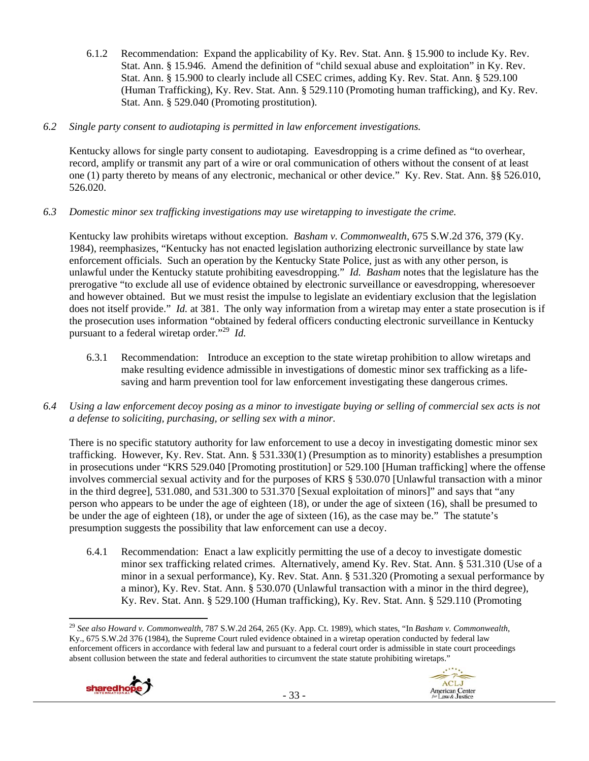- 6.1.2 Recommendation: Expand the applicability of Ky. Rev. Stat. Ann. § 15.900 to include Ky. Rev. Stat. Ann. § 15.946. Amend the definition of "child sexual abuse and exploitation" in Ky. Rev. Stat. Ann. § 15.900 to clearly include all CSEC crimes, adding Ky. Rev. Stat. Ann. § 529.100 (Human Trafficking), Ky. Rev. Stat. Ann. § 529.110 (Promoting human trafficking), and Ky. Rev. Stat. Ann. § 529.040 (Promoting prostitution).
- *6.2 Single party consent to audiotaping is permitted in law enforcement investigations.*

Kentucky allows for single party consent to audiotaping. Eavesdropping is a crime defined as "to overhear, record, amplify or transmit any part of a wire or oral communication of others without the consent of at least one (1) party thereto by means of any electronic, mechanical or other device." Ky. Rev. Stat. Ann. §§ 526.010, 526.020.

*6.3 Domestic minor sex trafficking investigations may use wiretapping to investigate the crime.* 

Kentucky law prohibits wiretaps without exception. *Basham v. Commonwealth*, 675 S.W.2d 376, 379 (Ky. 1984), reemphasizes, "Kentucky has not enacted legislation authorizing electronic surveillance by state law enforcement officials. Such an operation by the Kentucky State Police, just as with any other person, is unlawful under the Kentucky statute prohibiting eavesdropping." *Id. Basham* notes that the legislature has the prerogative "to exclude all use of evidence obtained by electronic surveillance or eavesdropping, wheresoever and however obtained. But we must resist the impulse to legislate an evidentiary exclusion that the legislation does not itself provide." *Id.* at 381. The only way information from a wiretap may enter a state prosecution is if the prosecution uses information "obtained by federal officers conducting electronic surveillance in Kentucky pursuant to a federal wiretap order."29 *Id.*

- 6.3.1 Recommendation: Introduce an exception to the state wiretap prohibition to allow wiretaps and make resulting evidence admissible in investigations of domestic minor sex trafficking as a lifesaving and harm prevention tool for law enforcement investigating these dangerous crimes.
- *6.4 Using a law enforcement decoy posing as a minor to investigate buying or selling of commercial sex acts is not a defense to soliciting, purchasing, or selling sex with a minor.*

There is no specific statutory authority for law enforcement to use a decoy in investigating domestic minor sex trafficking. However, Ky. Rev. Stat. Ann. § 531.330(1) (Presumption as to minority) establishes a presumption in prosecutions under "KRS 529.040 [Promoting prostitution] or 529.100 [Human trafficking] where the offense involves commercial sexual activity and for the purposes of KRS § 530.070 [Unlawful transaction with a minor in the third degree], 531.080, and 531.300 to 531.370 [Sexual exploitation of minors]" and says that "any person who appears to be under the age of eighteen (18), or under the age of sixteen (16), shall be presumed to be under the age of eighteen (18), or under the age of sixteen (16), as the case may be." The statute's presumption suggests the possibility that law enforcement can use a decoy.

6.4.1 Recommendation: Enact a law explicitly permitting the use of a decoy to investigate domestic minor sex trafficking related crimes. Alternatively, amend Ky. Rev. Stat. Ann. § 531.310 (Use of a minor in a sexual performance), Ky. Rev. Stat. Ann. § 531.320 (Promoting a sexual performance by a minor), Ky. Rev. Stat. Ann. § 530.070 (Unlawful transaction with a minor in the third degree), Ky. Rev. Stat. Ann. § 529.100 (Human trafficking), Ky. Rev. Stat. Ann. § 529.110 (Promoting

> $\cdot$ ACLJ

American Center<br>for Law & Justice

 <sup>29</sup> *See also Howard v. Commonwealth,* 787 S.W.2d 264, 265 (Ky. App. Ct. 1989), which states, "In *Basham v. Commonwealth*, Ky., 675 S.W.2d 376 (1984), the Supreme Court ruled evidence obtained in a wiretap operation conducted by federal law enforcement officers in accordance with federal law and pursuant to a federal court order is admissible in state court proceedings absent collusion between the state and federal authorities to circumvent the state statute prohibiting wiretaps."

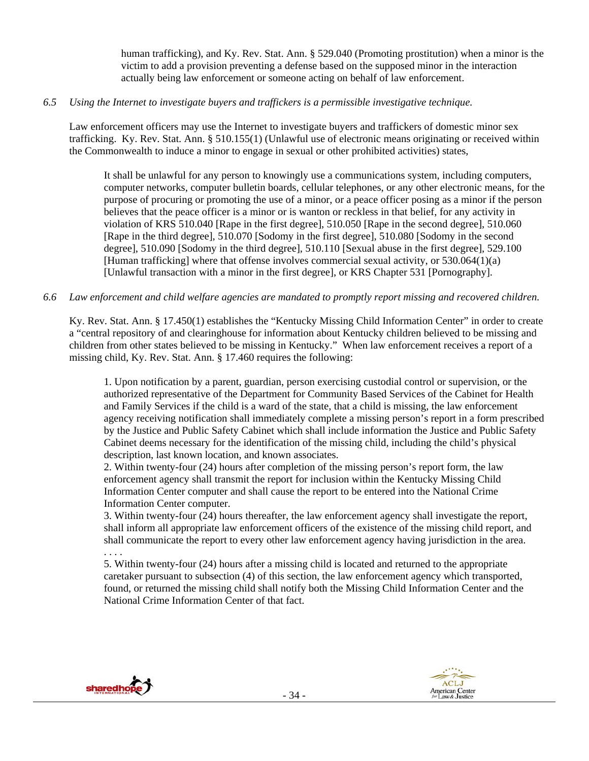human trafficking), and Ky. Rev. Stat. Ann. § 529.040 (Promoting prostitution) when a minor is the victim to add a provision preventing a defense based on the supposed minor in the interaction actually being law enforcement or someone acting on behalf of law enforcement.

#### *6.5 Using the Internet to investigate buyers and traffickers is a permissible investigative technique.*

Law enforcement officers may use the Internet to investigate buyers and traffickers of domestic minor sex trafficking. Ky. Rev. Stat. Ann. § 510.155(1) (Unlawful use of electronic means originating or received within the Commonwealth to induce a minor to engage in sexual or other prohibited activities) states,

It shall be unlawful for any person to knowingly use a communications system, including computers, computer networks, computer bulletin boards, cellular telephones, or any other electronic means, for the purpose of procuring or promoting the use of a minor, or a peace officer posing as a minor if the person believes that the peace officer is a minor or is wanton or reckless in that belief, for any activity in violation of KRS 510.040 [Rape in the first degree], 510.050 [Rape in the second degree], 510.060 [Rape in the third degree], 510.070 [Sodomy in the first degree], 510.080 [Sodomy in the second degree], 510.090 [Sodomy in the third degree], 510.110 [Sexual abuse in the first degree], 529.100 [Human trafficking] where that offense involves commercial sexual activity, or 530.064(1)(a) [Unlawful transaction with a minor in the first degree], or KRS Chapter 531 [Pornography].

#### *6.6 Law enforcement and child welfare agencies are mandated to promptly report missing and recovered children.*

Ky. Rev. Stat. Ann. § 17.450(1) establishes the "Kentucky Missing Child Information Center" in order to create a "central repository of and clearinghouse for information about Kentucky children believed to be missing and children from other states believed to be missing in Kentucky." When law enforcement receives a report of a missing child, Ky. Rev. Stat. Ann. § 17.460 requires the following:

1. Upon notification by a parent, guardian, person exercising custodial control or supervision, or the authorized representative of the Department for Community Based Services of the Cabinet for Health and Family Services if the child is a ward of the state, that a child is missing, the law enforcement agency receiving notification shall immediately complete a missing person's report in a form prescribed by the Justice and Public Safety Cabinet which shall include information the Justice and Public Safety Cabinet deems necessary for the identification of the missing child, including the child's physical description, last known location, and known associates.

2. Within twenty-four (24) hours after completion of the missing person's report form, the law enforcement agency shall transmit the report for inclusion within the Kentucky Missing Child Information Center computer and shall cause the report to be entered into the National Crime Information Center computer.

3. Within twenty-four (24) hours thereafter, the law enforcement agency shall investigate the report, shall inform all appropriate law enforcement officers of the existence of the missing child report, and shall communicate the report to every other law enforcement agency having jurisdiction in the area. . . . .

5. Within twenty-four (24) hours after a missing child is located and returned to the appropriate caretaker pursuant to subsection (4) of this section, the law enforcement agency which transported, found, or returned the missing child shall notify both the Missing Child Information Center and the National Crime Information Center of that fact.